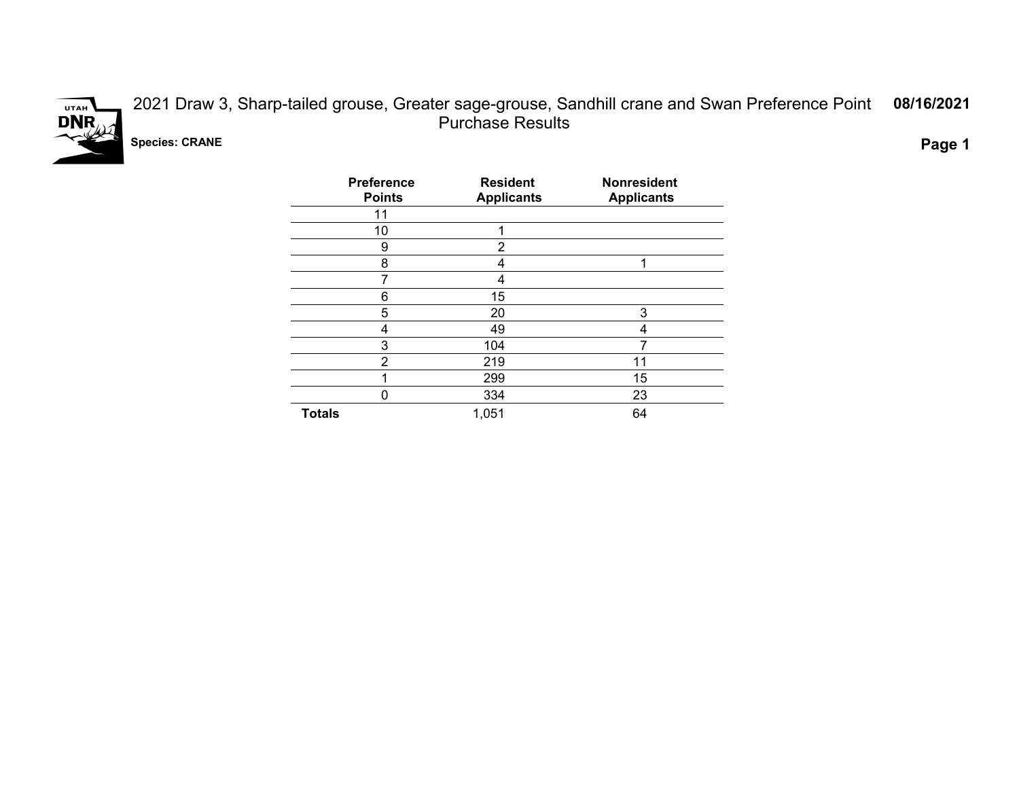

2021 Draw 3, Sharp-tailed grouse, Greater sage-grouse, Sandhill crane and Swan Preference Point Purchase Results **08/16/2021**

**Species: CRANE Page 1**

| <b>Preference</b><br><b>Points</b> | <b>Resident</b><br><b>Applicants</b> | <b>Nonresident</b><br><b>Applicants</b> |
|------------------------------------|--------------------------------------|-----------------------------------------|
| 11                                 |                                      |                                         |
| 10                                 | 1                                    |                                         |
| 9                                  | $\overline{2}$                       |                                         |
| 8                                  | 4                                    | 1                                       |
| 7                                  | 4                                    |                                         |
| 6                                  | 15                                   |                                         |
| 5                                  | 20                                   | 3                                       |
| 4                                  | 49                                   | 4                                       |
| 3                                  | 104                                  |                                         |
| 2                                  | 219                                  | 11                                      |
|                                    | 299                                  | 15                                      |
| 0                                  | 334                                  | 23                                      |
| <b>Totals</b>                      | 1,051                                | 64                                      |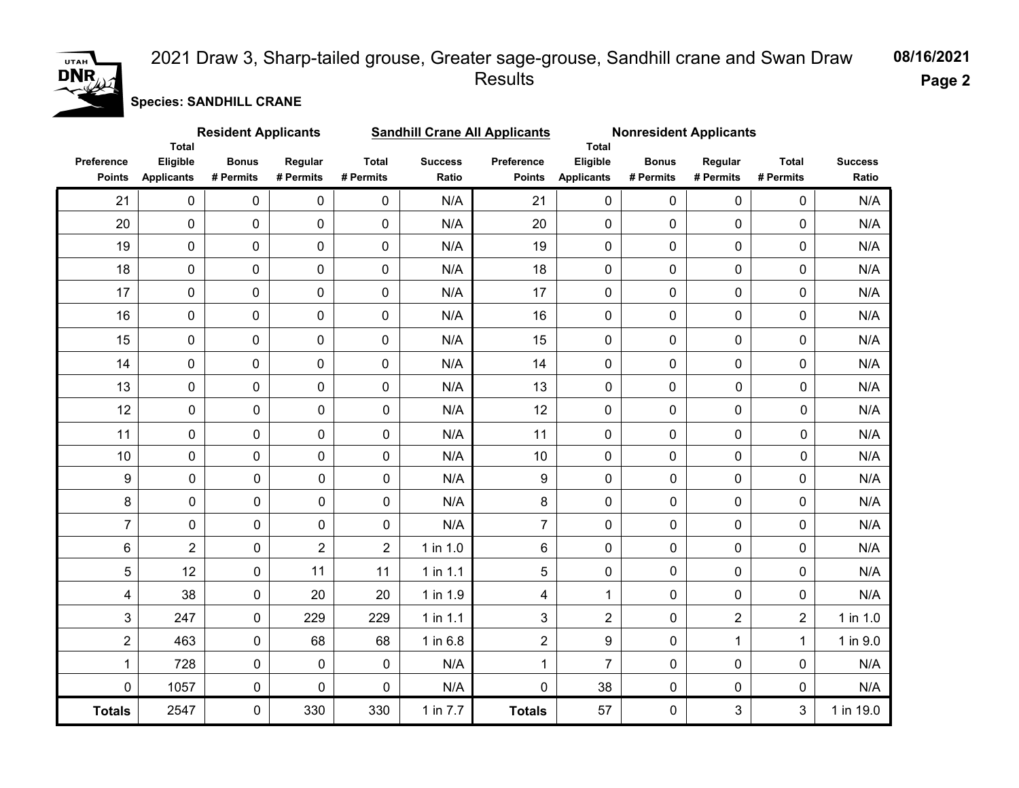### UTAH  $DNR$

#### 2021 Draw 3, Sharp-tailed grouse, Greater sage-grouse, Sandhill crane and Swan Draw Results

**08/16/2021 Page 2**

**Species: SANDHILL CRANE**

|                             | <b>Total</b>                  | <b>Resident Applicants</b> |                      |                           |                         | <b>Sandhill Crane All Applicants</b> | Total                         | <b>Nonresident Applicants</b> |                      |                           |                         |
|-----------------------------|-------------------------------|----------------------------|----------------------|---------------------------|-------------------------|--------------------------------------|-------------------------------|-------------------------------|----------------------|---------------------------|-------------------------|
| Preference<br><b>Points</b> | Eligible<br><b>Applicants</b> | <b>Bonus</b><br># Permits  | Regular<br># Permits | <b>Total</b><br># Permits | <b>Success</b><br>Ratio | Preference<br><b>Points</b>          | Eligible<br><b>Applicants</b> | <b>Bonus</b><br># Permits     | Regular<br># Permits | <b>Total</b><br># Permits | <b>Success</b><br>Ratio |
| 21                          | $\mathbf 0$                   | $\mathbf 0$                | 0                    | 0                         | N/A                     | 21                                   | $\pmb{0}$                     | $\mathbf 0$                   | $\mathbf 0$          | 0                         | N/A                     |
| 20                          | $\pmb{0}$                     | $\mathbf 0$                | 0                    | 0                         | N/A                     | 20                                   | $\pmb{0}$                     | $\mathbf 0$                   | 0                    | $\pmb{0}$                 | N/A                     |
| 19                          | $\pmb{0}$                     | $\mathsf{O}\xspace$        | 0                    | 0                         | N/A                     | 19                                   | $\mathbf 0$                   | 0                             | 0                    | $\pmb{0}$                 | N/A                     |
| 18                          | $\pmb{0}$                     | $\mathsf{O}\xspace$        | 0                    | 0                         | N/A                     | 18                                   | $\pmb{0}$                     | $\mathbf 0$                   | 0                    | 0                         | N/A                     |
| 17                          | $\pmb{0}$                     | $\mathsf{O}\xspace$        | 0                    | 0                         | N/A                     | 17                                   | $\pmb{0}$                     | $\mathbf 0$                   | 0                    | $\pmb{0}$                 | N/A                     |
| 16                          | $\pmb{0}$                     | $\mathsf{O}\xspace$        | 0                    | 0                         | N/A                     | 16                                   | $\pmb{0}$                     | $\mathbf 0$                   | 0                    | 0                         | N/A                     |
| 15                          | $\mathbf 0$                   | $\mathbf 0$                | 0                    | 0                         | N/A                     | 15                                   | $\mathbf 0$                   | $\mathbf 0$                   | $\mathbf 0$          | $\mathbf 0$               | N/A                     |
| 14                          | $\mathbf 0$                   | $\mathbf 0$                | 0                    | 0                         | N/A                     | 14                                   | $\mathbf 0$                   | $\mathbf 0$                   | 0                    | 0                         | N/A                     |
| 13                          | 0                             | $\pmb{0}$                  | 0                    | $\mathbf 0$               | N/A                     | 13                                   | $\mathbf 0$                   | $\mathbf 0$                   | 0                    | 0                         | N/A                     |
| 12                          | $\mathbf 0$                   | 0                          | 0                    | 0                         | N/A                     | 12                                   | $\mathbf 0$                   | $\mathbf 0$                   | 0                    | 0                         | N/A                     |
| 11                          | $\mathsf{O}\xspace$           | 0                          | 0                    | $\mathbf 0$               | N/A                     | 11                                   | $\mathbf 0$                   | $\mathbf 0$                   | 0                    | $\pmb{0}$                 | N/A                     |
| 10                          | $\mathsf{O}\xspace$           | 0                          | 0                    | 0                         | N/A                     | 10                                   | $\mathbf 0$                   | $\mathbf 0$                   | 0                    | 0                         | N/A                     |
| $\boldsymbol{9}$            | $\pmb{0}$                     | 0                          | $\pmb{0}$            | 0                         | N/A                     | 9                                    | $\pmb{0}$                     | $\mathbf 0$                   | $\pmb{0}$            | 0                         | N/A                     |
| 8                           | $\mathsf 0$                   | 0                          | $\pmb{0}$            | 0                         | N/A                     | 8                                    | $\pmb{0}$                     | $\mathbf 0$                   | $\pmb{0}$            | 0                         | N/A                     |
| $\overline{7}$              | 0                             | 0                          | 0                    | 0                         | N/A                     | $\overline{7}$                       | $\mathbf 0$                   | $\mathbf 0$                   | 0                    | 0                         | N/A                     |
| 6                           | $\overline{2}$                | 0                          | $\overline{2}$       | $\overline{2}$            | 1 in 1.0                | 6                                    | $\mathbf 0$                   | $\mathbf 0$                   | 0                    | 0                         | N/A                     |
| $\overline{5}$              | 12                            | 0                          | 11                   | 11                        | 1 in 1.1                | 5                                    | $\mathbf 0$                   | $\mathbf 0$                   | $\mathbf 0$          | 0                         | N/A                     |
| $\overline{\mathbf{4}}$     | 38                            | 0                          | 20                   | 20                        | 1 in 1.9                | 4                                    | $\mathbf{1}$                  | $\mathbf 0$                   | 0                    | 0                         | N/A                     |
| $\mathfrak{S}$              | 247                           | 0                          | 229                  | 229                       | $1$ in 1.1              | 3                                    | $\overline{2}$                | $\mathbf 0$                   | $\overline{2}$       | $\overline{2}$            | 1 in 1.0                |
| $\overline{c}$              | 463                           | 0                          | 68                   | 68                        | 1 in 6.8                | $\overline{2}$                       | 9                             | $\mathbf 0$                   | $\mathbf{1}$         | $\mathbf{1}$              | 1 in 9.0                |
| $\mathbf{1}$                | 728                           | 0                          | 0                    | 0                         | N/A                     | $\mathbf 1$                          | $\overline{7}$                | $\mathbf 0$                   | 0                    | 0                         | N/A                     |
| $\pmb{0}$                   | 1057                          | $\pmb{0}$                  | 0                    | 0                         | N/A                     | 0                                    | 38                            | $\mathbf 0$                   | $\pmb{0}$            | 0                         | N/A                     |
| <b>Totals</b>               | 2547                          | 0                          | 330                  | 330                       | 1 in 7.7                | <b>Totals</b>                        | 57                            | $\mathbf 0$                   | 3                    | 3                         | 1 in 19.0               |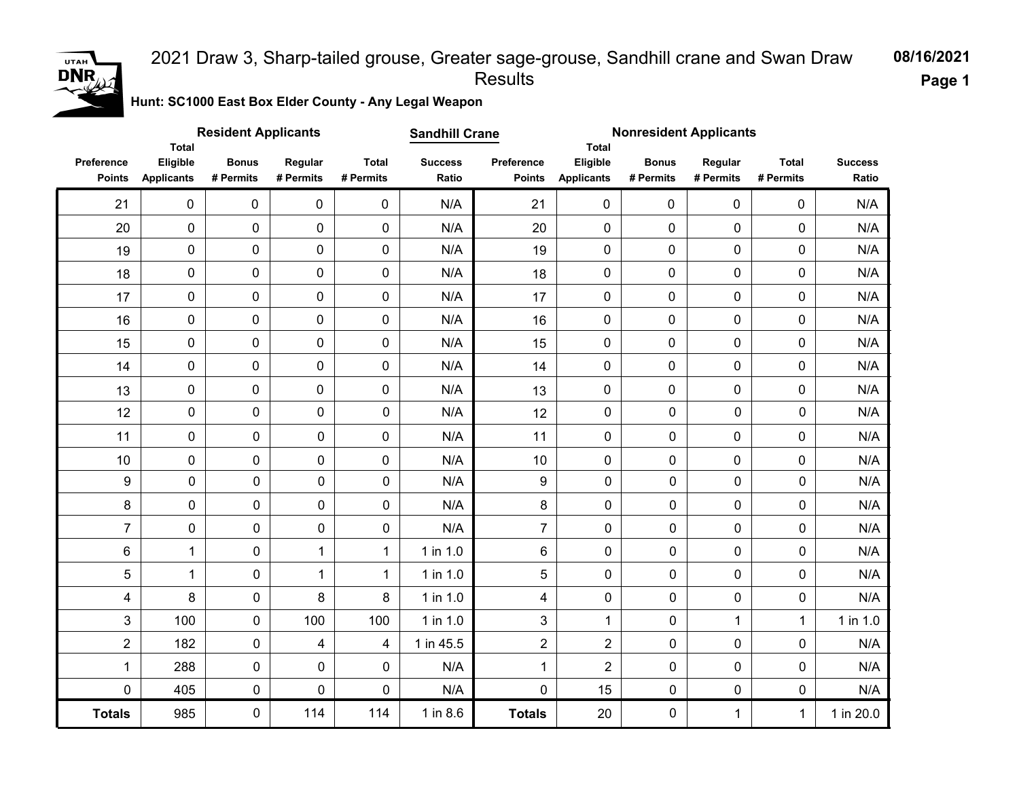### UTAH  $DNR$

#### 2021 Draw 3, Sharp-tailed grouse, Greater sage-grouse, Sandhill crane and Swan Draw Results

**08/16/2021 Page 1**

**Hunt: SC1000 East Box Elder County - Any Legal Weapon** 

|                             | <b>Total</b>                  | <b>Resident Applicants</b> |                      |                           | <b>Sandhill Crane</b>   |                             |                               | <b>Nonresident Applicants</b><br><b>Total</b> |                      |                           |                         |
|-----------------------------|-------------------------------|----------------------------|----------------------|---------------------------|-------------------------|-----------------------------|-------------------------------|-----------------------------------------------|----------------------|---------------------------|-------------------------|
| Preference<br><b>Points</b> | Eligible<br><b>Applicants</b> | <b>Bonus</b><br># Permits  | Regular<br># Permits | <b>Total</b><br># Permits | <b>Success</b><br>Ratio | Preference<br><b>Points</b> | Eligible<br><b>Applicants</b> | <b>Bonus</b><br># Permits                     | Regular<br># Permits | <b>Total</b><br># Permits | <b>Success</b><br>Ratio |
| 21                          | 0                             | 0                          | $\mathbf 0$          | 0                         | N/A                     | 21                          | $\pmb{0}$                     | $\pmb{0}$                                     | 0                    | $\mathbf 0$               | N/A                     |
| 20                          | $\mathbf 0$                   | 0                          | $\mathbf 0$          | $\pmb{0}$                 | N/A                     | 20                          | 0                             | 0                                             | $\mathbf 0$          | 0                         | N/A                     |
| 19                          | $\mathsf{O}\xspace$           | $\pmb{0}$                  | 0                    | 0                         | N/A                     | 19                          | 0                             | 0                                             | 0                    | 0                         | N/A                     |
| 18                          | $\mathsf{O}\xspace$           | $\pmb{0}$                  | 0                    | $\pmb{0}$                 | N/A                     | 18                          | 0                             | 0                                             | $\mathbf 0$          | 0                         | N/A                     |
| 17                          | $\pmb{0}$                     | $\pmb{0}$                  | 0                    | $\pmb{0}$                 | N/A                     | 17                          | 0                             | 0                                             | $\pmb{0}$            | 0                         | N/A                     |
| 16                          | $\mathsf{O}\xspace$           | $\pmb{0}$                  | $\pmb{0}$            | $\pmb{0}$                 | N/A                     | 16                          | 0                             | $\mathbf 0$                                   | $\mathbf 0$          | 0                         | N/A                     |
| 15                          | $\mathsf{O}\xspace$           | $\pmb{0}$                  | 0                    | 0                         | N/A                     | 15                          | 0                             | 0                                             | $\mathbf 0$          | 0                         | N/A                     |
| 14                          | $\mathsf{O}\xspace$           | $\pmb{0}$                  | 0                    | $\mathbf 0$               | N/A                     | 14                          | 0                             | $\mathbf 0$                                   | 0                    | 0                         | N/A                     |
| 13                          | $\mathsf{O}\xspace$           | $\pmb{0}$                  | 0                    | $\pmb{0}$                 | N/A                     | 13                          | $\pmb{0}$                     | 0                                             | $\mathbf 0$          | 0                         | N/A                     |
| 12                          | $\pmb{0}$                     | 0                          | 0                    | $\mathbf 0$               | N/A                     | 12                          | $\pmb{0}$                     | $\mathbf 0$                                   | $\mathbf 0$          | 0                         | N/A                     |
| 11                          | $\mathbf 0$                   | 0                          | 0                    | $\mathbf 0$               | N/A                     | 11                          | $\pmb{0}$                     | 0                                             | $\mathbf 0$          | 0                         | N/A                     |
| 10                          | 0                             | 0                          | 0                    | 0                         | N/A                     | 10                          | 0                             | 0                                             | $\mathbf 0$          | 0                         | N/A                     |
| $\boldsymbol{9}$            | $\pmb{0}$                     | 0                          | 0                    | $\pmb{0}$                 | N/A                     | 9                           | $\mathbf 0$                   | $\pmb{0}$                                     | $\pmb{0}$            | 0                         | N/A                     |
| $\bf 8$                     | $\pmb{0}$                     | 0                          | 0                    | $\mathsf{O}\xspace$       | N/A                     | 8                           | $\pmb{0}$                     | $\pmb{0}$                                     | $\mathbf 0$          | 0                         | N/A                     |
| $\overline{7}$              | $\pmb{0}$                     | 0                          | $\pmb{0}$            | $\mathsf{O}\xspace$       | N/A                     | $\overline{7}$              | $\pmb{0}$                     | $\mathbf 0$                                   | $\mathbf 0$          | 0                         | N/A                     |
| $\,6$                       | $\mathbf 1$                   | $\pmb{0}$                  | $\mathbf 1$          | $\mathbf{1}$              | 1 in 1.0                | 6                           | $\pmb{0}$                     | $\pmb{0}$                                     | 0                    | 0                         | N/A                     |
| 5                           | $\mathbf 1$                   | 0                          | $\mathbf 1$          | $\mathbf{1}$              | 1 in 1.0                | 5                           | $\mathbf 0$                   | $\mathbf 0$                                   | 0                    | 0                         | N/A                     |
| 4                           | 8                             | 0                          | 8                    | 8                         | 1 in 1.0                | 4                           | $\pmb{0}$                     | $\mathbf 0$                                   | $\mathbf 0$          | 0                         | N/A                     |
| 3                           | 100                           | 0                          | 100                  | 100                       | 1 in 1.0                | 3                           | $\mathbf{1}$                  | $\pmb{0}$                                     | $\mathbf{1}$         | $\mathbf{1}$              | 1 in 1.0                |
| $\overline{2}$              | 182                           | 0                          | 4                    | 4                         | 1 in 45.5               | $\overline{a}$              | $\overline{2}$                | $\pmb{0}$                                     | $\pmb{0}$            | 0                         | N/A                     |
| $\mathbf{1}$                | 288                           | 0                          | 0                    | $\mathbf 0$               | N/A                     | $\mathbf{1}$                | $\overline{2}$                | $\pmb{0}$                                     | 0                    | 0                         | N/A                     |
| $\pmb{0}$                   | 405                           | 0                          | $\pmb{0}$            | $\mathbf 0$               | N/A                     | 0                           | 15                            | $\pmb{0}$                                     | $\mathsf 0$          | 0                         | N/A                     |
| <b>Totals</b>               | 985                           | 0                          | 114                  | 114                       | 1 in 8.6                | <b>Totals</b>               | 20                            | $\pmb{0}$                                     | $\mathbf{1}$         | $\mathbf{1}$              | 1 in 20.0               |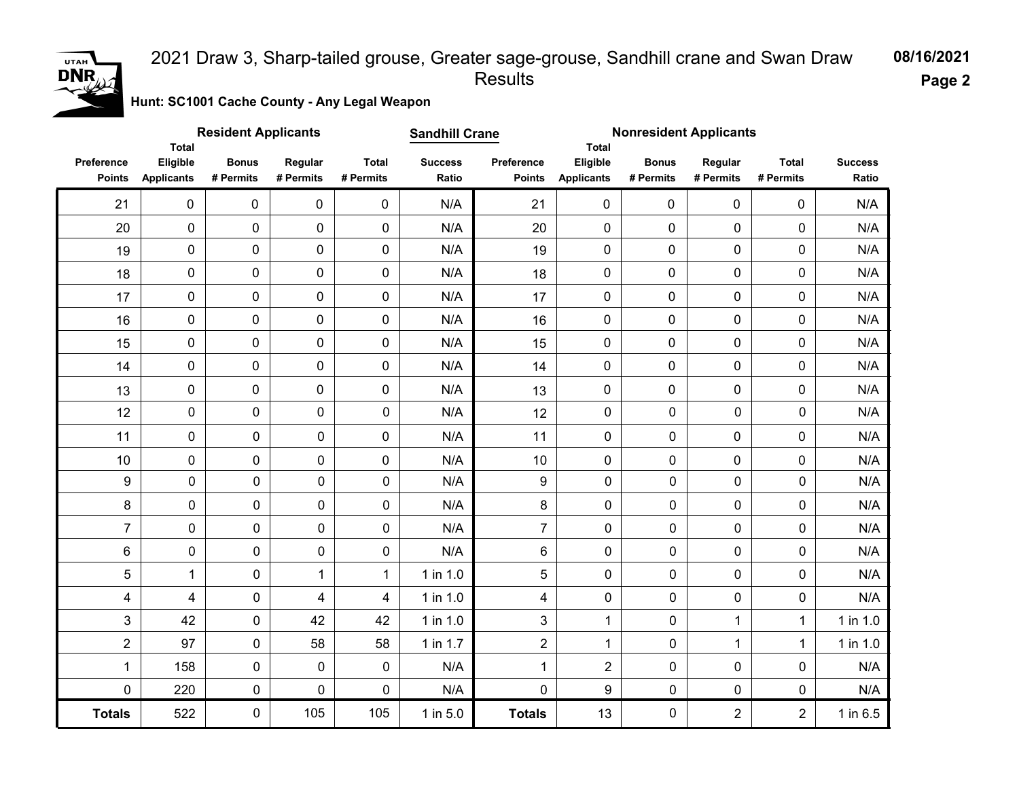# **DNR**

#### 2021 Draw 3, Sharp-tailed grouse, Greater sage-grouse, Sandhill crane and Swan Draw Results

**08/16/2021 Page 2**

**Hunt: SC1001 Cache County - Any Legal Weapon** 

|                             | Total                         | <b>Resident Applicants</b> |                      |                           | <b>Sandhill Crane</b>   |                             | Total                         | <b>Nonresident Applicants</b> |                      |                           |                         |
|-----------------------------|-------------------------------|----------------------------|----------------------|---------------------------|-------------------------|-----------------------------|-------------------------------|-------------------------------|----------------------|---------------------------|-------------------------|
| Preference<br><b>Points</b> | Eligible<br><b>Applicants</b> | <b>Bonus</b><br># Permits  | Regular<br># Permits | <b>Total</b><br># Permits | <b>Success</b><br>Ratio | Preference<br><b>Points</b> | Eligible<br><b>Applicants</b> | <b>Bonus</b><br># Permits     | Regular<br># Permits | <b>Total</b><br># Permits | <b>Success</b><br>Ratio |
| 21                          | $\mathbf 0$                   | 0                          | $\mathbf 0$          | 0                         | N/A                     | 21                          | 0                             | 0                             | $\mathbf 0$          | 0                         | N/A                     |
| 20                          | $\pmb{0}$                     | 0                          | 0                    | $\mathbf 0$               | N/A                     | 20                          | $\mathbf 0$                   | $\mathbf 0$                   | 0                    | $\pmb{0}$                 | N/A                     |
| 19                          | $\pmb{0}$                     | 0                          | 0                    | $\mathbf 0$               | N/A                     | 19                          | $\pmb{0}$                     | $\pmb{0}$                     | 0                    | 0                         | N/A                     |
| 18                          | $\pmb{0}$                     | 0                          | 0                    | $\mathbf 0$               | N/A                     | 18                          | $\mathbf 0$                   | $\pmb{0}$                     | 0                    | $\pmb{0}$                 | N/A                     |
| 17                          | $\pmb{0}$                     | 0                          | 0                    | $\mathbf 0$               | N/A                     | 17                          | $\pmb{0}$                     | $\pmb{0}$                     | $\pmb{0}$            | $\pmb{0}$                 | N/A                     |
| 16                          | $\mathsf{O}\xspace$           | 0                          | 0                    | $\mathbf 0$               | N/A                     | 16                          | $\mathbf 0$                   | $\mathbf 0$                   | $\overline{0}$       | 0                         | N/A                     |
| 15                          | $\pmb{0}$                     | 0                          | 0                    | $\mathbf 0$               | N/A                     | 15                          | $\mathbf 0$                   | $\mathbf 0$                   | $\mathbf 0$          | $\pmb{0}$                 | N/A                     |
| 14                          | $\pmb{0}$                     | 0                          | 0                    | $\mathbf 0$               | N/A                     | 14                          | $\mathbf 0$                   | $\mathbf 0$                   | 0                    | 0                         | N/A                     |
| 13                          | $\pmb{0}$                     | 0                          | 0                    | $\mathbf 0$               | N/A                     | 13                          | $\mathbf 0$                   | $\mathbf 0$                   | 0                    | $\pmb{0}$                 | N/A                     |
| 12                          | $\pmb{0}$                     | 0                          | 0                    | $\mathbf 0$               | N/A                     | 12                          | 0                             | $\mathbf 0$                   | $\mathbf 0$          | 0                         | N/A                     |
| 11                          | 0                             | 0                          | $\mathbf 0$          | $\mathbf 0$               | N/A                     | 11                          | 0                             | $\pmb{0}$                     | 0                    | 0                         | N/A                     |
| 10                          | 0                             | $\pmb{0}$                  | 0                    | 0                         | N/A                     | 10                          | 0                             | 0                             | 0                    | 0                         | N/A                     |
| $\boldsymbol{9}$            | $\pmb{0}$                     | $\pmb{0}$                  | $\mathbf 0$          | $\mathbf 0$               | N/A                     | $\boldsymbol{9}$            | $\mathbf 0$                   | $\mathbf 0$                   | 0                    | $\mathbf 0$               | N/A                     |
| $\bf 8$                     | $\pmb{0}$                     | $\pmb{0}$                  | $\pmb{0}$            | $\mathbf 0$               | N/A                     | 8                           | $\mathbf 0$                   | $\mathbf 0$                   | 0                    | 0                         | N/A                     |
| $\overline{7}$              | $\pmb{0}$                     | $\pmb{0}$                  | $\mathbf 0$          | $\mathbf 0$               | N/A                     | $\overline{7}$              | $\mathbf 0$                   | $\mathbf 0$                   | 0                    | $\pmb{0}$                 | N/A                     |
| $\,6\,$                     | 0                             | $\pmb{0}$                  | $\pmb{0}$            | $\mathbf 0$               | N/A                     | 6                           | 0                             | $\pmb{0}$                     | 0                    | $\pmb{0}$                 | N/A                     |
| 5                           | $\mathbf 1$                   | $\pmb{0}$                  | $\mathbf{1}$         | $\mathbf{1}$              | $1$ in $1.0$            | 5                           | 0                             | $\mathbf 0$                   | 0                    | 0                         | N/A                     |
| 4                           | 4                             | 0                          | 4                    | 4                         | 1 in 1.0                | $\overline{\mathbf{4}}$     | 0                             | $\pmb{0}$                     | 0                    | 0                         | N/A                     |
| 3                           | 42                            | $\mathbf 0$                | 42                   | 42                        | $1$ in $1.0$            | 3                           | $\mathbf{1}$                  | $\mathbf 0$                   | $\mathbf{1}$         | $\mathbf{1}$              | $1$ in $1.0$            |
| $\overline{2}$              | 97                            | 0                          | 58                   | 58                        | 1 in 1.7                | $\overline{2}$              | $\mathbf{1}$                  | $\pmb{0}$                     | $\mathbf{1}$         | $\mathbf{1}$              | 1 in 1.0                |
| 1                           | 158                           | $\pmb{0}$                  | $\mathbf 0$          | $\mathbf 0$               | N/A                     | $\mathbf{1}$                | $\overline{2}$                | $\mathbf 0$                   | 0                    | 0                         | N/A                     |
| $\pmb{0}$                   | 220                           | $\pmb{0}$                  | $\mathsf{O}\xspace$  | $\pmb{0}$                 | N/A                     | 0                           | 9                             | $\pmb{0}$                     | 0                    | $\pmb{0}$                 | N/A                     |
| <b>Totals</b>               | 522                           | $\pmb{0}$                  | 105                  | 105                       | 1 in 5.0                | <b>Totals</b>               | 13                            | $\pmb{0}$                     | $\overline{2}$       | $\overline{2}$            | 1 in 6.5                |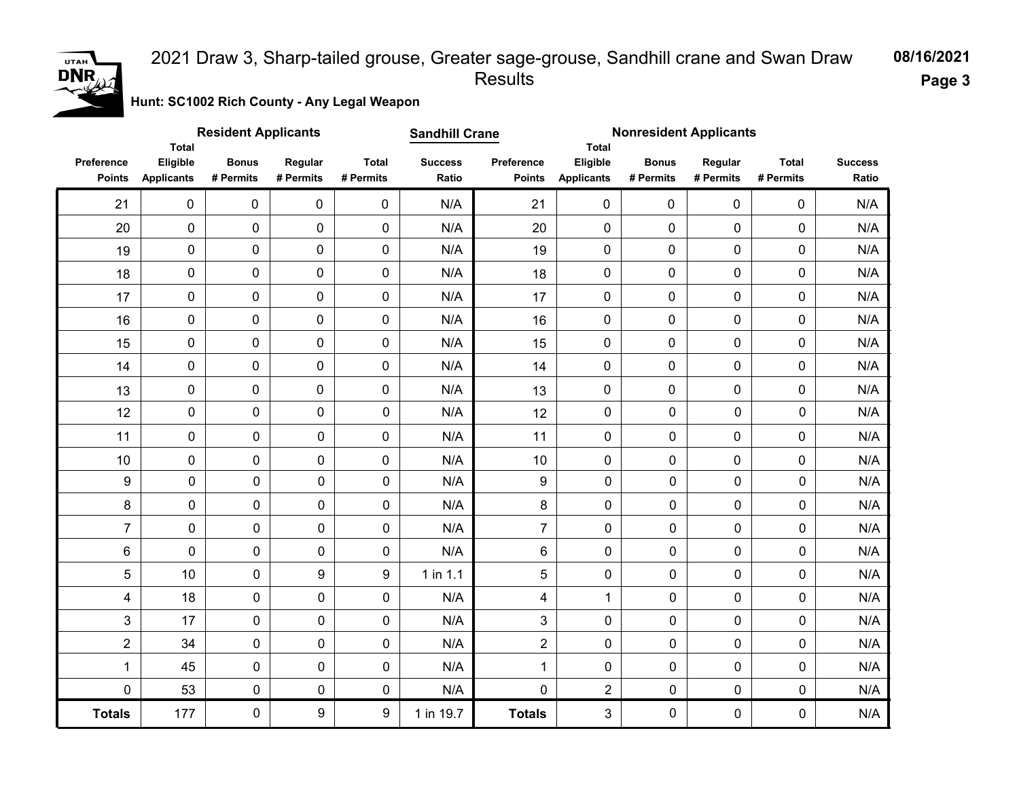#### 2021 Draw 3, Sharp-tailed grouse, Greater sage-grouse, Sandhill crane and Swan Draw Results

**08/16/2021 Page 3**

**Hunt: SC1002 Rich County - Any Legal Weapon** 

|                             | <b>Total</b>                  | <b>Resident Applicants</b> |                      |                           | <b>Sandhill Crane</b>   |                             |                               | <b>Nonresident Applicants</b><br><b>Total</b> |                      |                           |                         |
|-----------------------------|-------------------------------|----------------------------|----------------------|---------------------------|-------------------------|-----------------------------|-------------------------------|-----------------------------------------------|----------------------|---------------------------|-------------------------|
| Preference<br><b>Points</b> | Eligible<br><b>Applicants</b> | <b>Bonus</b><br># Permits  | Regular<br># Permits | <b>Total</b><br># Permits | <b>Success</b><br>Ratio | Preference<br><b>Points</b> | Eligible<br><b>Applicants</b> | <b>Bonus</b><br># Permits                     | Regular<br># Permits | <b>Total</b><br># Permits | <b>Success</b><br>Ratio |
| 21                          | $\mathbf 0$                   | $\mathbf 0$                | $\mathbf 0$          | $\mathbf 0$               | N/A                     | 21                          | $\mathbf 0$                   | 0                                             | $\mathbf 0$          | 0                         | N/A                     |
| 20                          | $\mathbf 0$                   | 0                          | 0                    | $\mathbf 0$               | N/A                     | 20                          | $\mathbf 0$                   | $\mathbf 0$                                   | 0                    | 0                         | N/A                     |
| 19                          | $\mathbf 0$                   | 0                          | 0                    | $\mathbf 0$               | N/A                     | 19                          | $\pmb{0}$                     | $\mathbf 0$                                   | 0                    | 0                         | N/A                     |
| 18                          | $\mathsf{O}\xspace$           | 0                          | 0                    | $\mathbf 0$               | N/A                     | 18                          | $\mathbf 0$                   | $\mathbf 0$                                   | 0                    | 0                         | N/A                     |
| 17                          | $\mathsf{O}\xspace$           | 0                          | 0                    | $\mathsf{O}\xspace$       | N/A                     | 17                          | $\pmb{0}$                     | $\pmb{0}$                                     | 0                    | 0                         | N/A                     |
| 16                          | $\mathsf{O}\xspace$           | 0                          | 0                    | $\mathsf{O}\xspace$       | N/A                     | 16                          | $\pmb{0}$                     | $\mathbf 0$                                   | 0                    | 0                         | N/A                     |
| 15                          | $\mathbf 0$                   | 0                          | 0                    | $\mathbf 0$               | N/A                     | 15                          | 0                             | $\pmb{0}$                                     | 0                    | 0                         | N/A                     |
| 14                          | $\mathsf{O}\xspace$           | 0                          | 0                    | $\mathbf 0$               | N/A                     | 14                          | 0                             | $\mathbf 0$                                   | 0                    | 0                         | N/A                     |
| 13                          | $\mathsf{O}\xspace$           | 0                          | 0                    | $\mathbf 0$               | N/A                     | 13                          | 0                             | $\mathbf 0$                                   | 0                    | 0                         | N/A                     |
| 12                          | $\pmb{0}$                     | 0                          | $\pmb{0}$            | 0                         | N/A                     | 12                          | $\mathbf 0$                   | $\mathbf 0$                                   | $\mathbf 0$          | $\mathbf 0$               | N/A                     |
| 11                          | $\mathsf{O}\xspace$           | 0                          | 0                    | $\mathbf 0$               | N/A                     | 11                          | $\mathbf 0$                   | $\mathbf 0$                                   | 0                    | 0                         | N/A                     |
| 10                          | $\pmb{0}$                     | 0                          | 0                    | 0                         | N/A                     | 10                          | $\mathbf 0$                   | $\mathbf 0$                                   | 0                    | 0                         | N/A                     |
| $\boldsymbol{9}$            | 0                             | 0                          | $\mathsf{O}$         | 0                         | N/A                     | 9                           | $\mathbf 0$                   | 0                                             | 0                    | 0                         | N/A                     |
| $\bf 8$                     | 0                             | 0                          | $\pmb{0}$            | 0                         | N/A                     | 8                           | $\mathsf{O}\xspace$           | 0                                             | 0                    | 0                         | N/A                     |
| $\overline{7}$              | 0                             | 0                          | $\mathsf{O}$         | 0                         | N/A                     | $\overline{7}$              | $\mathbf 0$                   | 0                                             | 0                    | 0                         | N/A                     |
| 6                           | 0                             | 0                          | 0                    | 0                         | N/A                     | 6                           | $\mathbf 0$                   | 0                                             | 0                    | 0                         | N/A                     |
| 5                           | 10                            | 0                          | 9                    | 9                         | $1$ in $1.1$            | 5                           | $\mathbf 0$                   | 0                                             | 0                    | $\mathbf 0$               | N/A                     |
| $\overline{\mathbf{4}}$     | 18                            | $\mathbf 0$                | $\mathbf 0$          | $\mathbf 0$               | N/A                     | $\overline{\mathbf{4}}$     | $\mathbf{1}$                  | $\mathbf 0$                                   | 0                    | $\mathbf 0$               | N/A                     |
| 3                           | 17                            | $\mathbf 0$                | $\mathbf 0$          | 0                         | N/A                     | 3                           | $\mathbf 0$                   | 0                                             | 0                    | 0                         | N/A                     |
| $\overline{c}$              | 34                            | $\pmb{0}$                  | $\mathbf 0$          | 0                         | N/A                     | $\overline{2}$              | $\mathsf{O}\xspace$           | 0                                             | 0                    | 0                         | N/A                     |
| $\mathbf 1$                 | 45                            | 0                          | 0                    | 0                         | N/A                     | $\mathbf{1}$                | $\mathbf 0$                   | 0                                             | 0                    | 0                         | N/A                     |
| $\mathbf 0$                 | 53                            | 0                          | $\mathbf 0$          | 0                         | N/A                     | 0                           | $\overline{2}$                | $\pmb{0}$                                     | 0                    | 0                         | N/A                     |
| <b>Totals</b>               | 177                           | 0                          | 9                    | 9                         | 1 in 19.7               | <b>Totals</b>               | 3                             | 0                                             | 0                    | 0                         | N/A                     |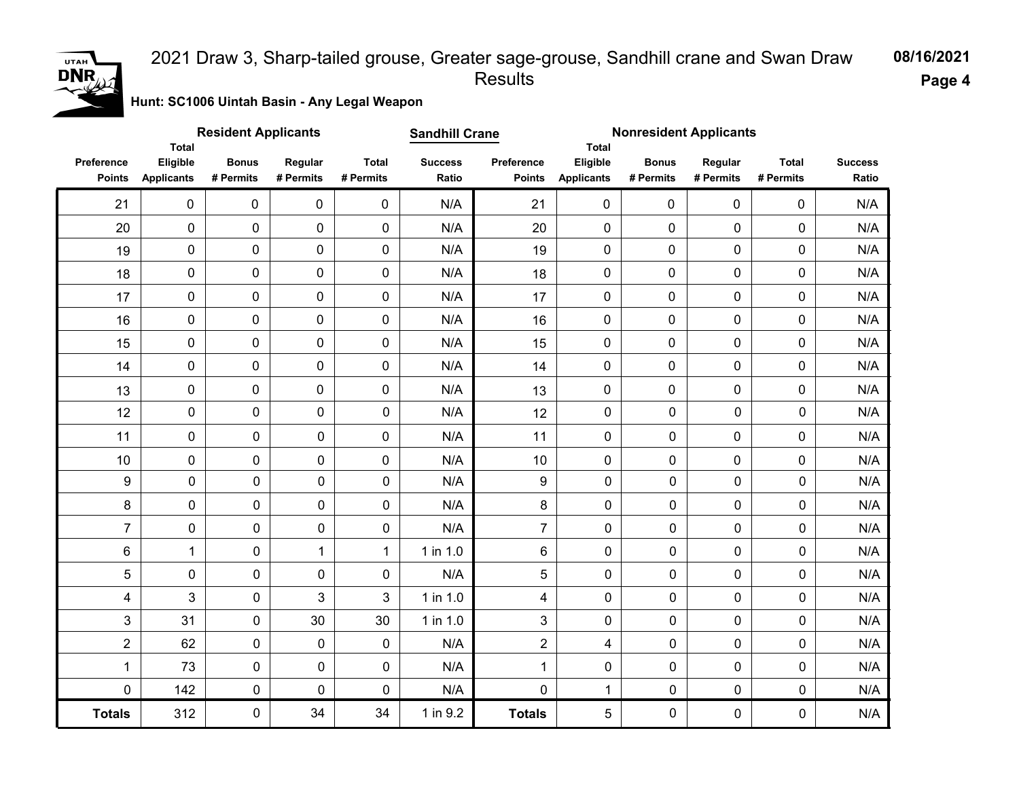# **DNR**

#### 2021 Draw 3, Sharp-tailed grouse, Greater sage-grouse, Sandhill crane and Swan Draw Results

**08/16/2021 Page 4**

**Hunt: SC1006 Uintah Basin - Any Legal Weapon** 

|                             | <b>Total</b>                  | <b>Resident Applicants</b> |                      |                           | <b>Sandhill Crane</b>   |                             | <b>Total</b>                  | <b>Nonresident Applicants</b> |                      |                           |                         |
|-----------------------------|-------------------------------|----------------------------|----------------------|---------------------------|-------------------------|-----------------------------|-------------------------------|-------------------------------|----------------------|---------------------------|-------------------------|
| Preference<br><b>Points</b> | Eligible<br><b>Applicants</b> | <b>Bonus</b><br># Permits  | Regular<br># Permits | <b>Total</b><br># Permits | <b>Success</b><br>Ratio | Preference<br><b>Points</b> | Eligible<br><b>Applicants</b> | <b>Bonus</b><br># Permits     | Regular<br># Permits | <b>Total</b><br># Permits | <b>Success</b><br>Ratio |
| 21                          | $\mathbf{0}$                  | $\mathbf 0$                | $\mathbf 0$          | $\mathbf 0$               | N/A                     | 21                          | 0                             | 0                             | $\mathbf 0$          | 0                         | N/A                     |
| 20                          | $\mathbf 0$                   | 0                          | 0                    | $\mathsf{O}\xspace$       | N/A                     | 20                          | $\pmb{0}$                     | $\pmb{0}$                     | $\pmb{0}$            | 0                         | N/A                     |
| 19                          | $\pmb{0}$                     | 0                          | 0                    | $\mathbf 0$               | N/A                     | 19                          | 0                             | $\pmb{0}$                     | $\mathbf 0$          | 0                         | N/A                     |
| 18                          | $\pmb{0}$                     | 0                          | 0                    | $\mathbf 0$               | N/A                     | 18                          | 0                             | $\mathbf 0$                   | $\mathbf 0$          | 0                         | N/A                     |
| 17                          | $\pmb{0}$                     | 0                          | 0                    | $\mathbf 0$               | N/A                     | 17                          | 0                             | $\mathbf 0$                   | $\mathbf 0$          | 0                         | N/A                     |
| 16                          | $\pmb{0}$                     | 0                          | 0                    | $\mathbf 0$               | N/A                     | 16                          | 0                             | $\mathbf 0$                   | $\mathbf 0$          | 0                         | N/A                     |
| 15                          | $\pmb{0}$                     | 0                          | 0                    | $\mathbf 0$               | N/A                     | 15                          | 0                             | $\mathbf 0$                   | $\mathbf 0$          | 0                         | N/A                     |
| 14                          | 0                             | 0                          | 0                    | $\mathbf 0$               | N/A                     | 14                          | 0                             | 0                             | 0                    | 0                         | N/A                     |
| 13                          | 0                             | 0                          | 0                    | $\mathbf 0$               | N/A                     | 13                          | 0                             | $\mathbf 0$                   | $\mathbf 0$          | 0                         | N/A                     |
| 12                          | $\mathbf 0$                   | 0                          | 0                    | 0                         | N/A                     | 12                          | $\mathbf 0$                   | $\mathbf 0$                   | 0                    | 0                         | N/A                     |
| 11                          | $\mathbf 0$                   | 0                          | 0                    | $\mathbf 0$               | N/A                     | 11                          | $\mathbf 0$                   | $\mathbf 0$                   | $\mathbf 0$          | 0                         | N/A                     |
| $10$                        | $\mathsf{O}\xspace$           | 0                          | 0                    | 0                         | N/A                     | $10$                        | $\mathbf 0$                   | $\pmb{0}$                     | $\pmb{0}$            | 0                         | N/A                     |
| $\boldsymbol{9}$            | $\pmb{0}$                     | $\pmb{0}$                  | 0                    | 0                         | N/A                     | $\boldsymbol{9}$            | $\pmb{0}$                     | $\pmb{0}$                     | 0                    | 0                         | N/A                     |
| 8                           | $\pmb{0}$                     | $\pmb{0}$                  | 0                    | 0                         | N/A                     | 8                           | $\mathbf 0$                   | $\mathbf 0$                   | 0                    | 0                         | N/A                     |
| $\overline{7}$              | 0                             | $\pmb{0}$                  | 0                    | 0                         | N/A                     | $\overline{7}$              | $\mathbf 0$                   | $\mathbf 0$                   | 0                    | 0                         | N/A                     |
| $\,6$                       | $\mathbf{1}$                  | $\pmb{0}$                  | $\mathbf{1}$         | $\mathbf{1}$              | 1 in 1.0                | 6                           | $\mathbf 0$                   | $\mathbf 0$                   | 0                    | 0                         | N/A                     |
| 5                           | 0                             | $\mathbf 0$                | 0                    | $\mathbf 0$               | N/A                     | 5                           | $\mathbf 0$                   | $\mathbf 0$                   | 0                    | 0                         | N/A                     |
| 4                           | 3                             | $\pmb{0}$                  | 3                    | 3                         | 1 in 1.0                | $\overline{\mathbf{4}}$     | $\pmb{0}$                     | $\pmb{0}$                     | 0                    | 0                         | N/A                     |
| 3                           | 31                            | $\mathsf{O}\xspace$        | 30                   | 30                        | $1$ in $1.0$            | 3                           | 0                             | $\pmb{0}$                     | 0                    | 0                         | N/A                     |
| $\overline{2}$              | 62                            | $\pmb{0}$                  | 0                    | 0                         | N/A                     | $\overline{2}$              | $\overline{\mathbf{4}}$       | $\mathbf 0$                   | 0                    | 0                         | N/A                     |
| 1                           | 73                            | $\pmb{0}$                  | 0                    | 0                         | N/A                     | $\mathbf{1}$                | 0                             | $\mathbf 0$                   | 0                    | 0                         | N/A                     |
| $\mathbf 0$                 | 142                           | $\pmb{0}$                  | 0                    | 0                         | N/A                     | 0                           | $\mathbf{1}$                  | $\pmb{0}$                     | 0                    | 0                         | N/A                     |
| <b>Totals</b>               | 312                           | $\pmb{0}$                  | 34                   | 34                        | 1 in 9.2                | <b>Totals</b>               | 5                             | $\pmb{0}$                     | 0                    | 0                         | N/A                     |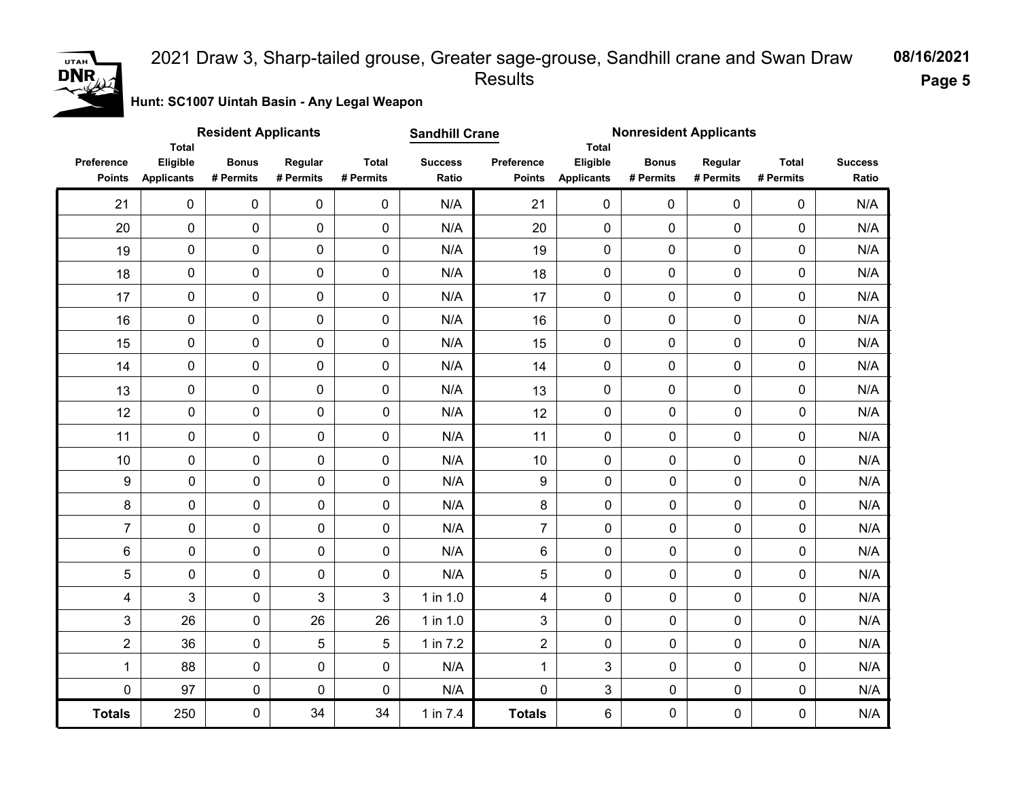#### **08/16/2021** 2021 Draw 3, Sharp-tailed grouse, Greater sage-grouse, Sandhill crane and Swan Draw Results

**Page 5**

**Hunt: SC1007 Uintah Basin - Any Legal Weapon** 

|                             | <b>Total</b>                  | <b>Resident Applicants</b> |                      |                           | <b>Sandhill Crane</b>   |                             | <b>Total</b>                  |                           | <b>Nonresident Applicants</b> |                           |                         |
|-----------------------------|-------------------------------|----------------------------|----------------------|---------------------------|-------------------------|-----------------------------|-------------------------------|---------------------------|-------------------------------|---------------------------|-------------------------|
| Preference<br><b>Points</b> | Eligible<br><b>Applicants</b> | <b>Bonus</b><br># Permits  | Regular<br># Permits | <b>Total</b><br># Permits | <b>Success</b><br>Ratio | Preference<br><b>Points</b> | Eligible<br><b>Applicants</b> | <b>Bonus</b><br># Permits | Regular<br># Permits          | <b>Total</b><br># Permits | <b>Success</b><br>Ratio |
| 21                          | $\mathbf 0$                   | 0                          | $\mathbf 0$          | 0                         | N/A                     | 21                          | 0                             | $\mathbf 0$               | $\mathbf 0$                   | 0                         | N/A                     |
| 20                          | 0                             | 0                          | $\pmb{0}$            | 0                         | N/A                     | 20                          | 0                             | $\mathbf 0$               | 0                             | 0                         | N/A                     |
| 19                          | $\pmb{0}$                     | 0                          | $\pmb{0}$            | 0                         | N/A                     | 19                          | 0                             | $\pmb{0}$                 | 0                             | 0                         | N/A                     |
| 18                          | $\mathsf 0$                   | 0                          | $\mathbf 0$          | 0                         | N/A                     | 18                          | 0                             | $\mathbf 0$               | 0                             | 0                         | N/A                     |
| 17                          | $\pmb{0}$                     | 0                          | $\mathbf 0$          | $\mathbf 0$               | N/A                     | 17                          | $\mathbf 0$                   | $\mathbf 0$               | 0                             | 0                         | N/A                     |
| 16                          | $\mathbf 0$                   | 0                          | 0                    | $\mathbf 0$               | N/A                     | 16                          | 0                             | $\mathbf 0$               | 0                             | 0                         | N/A                     |
| 15                          | $\pmb{0}$                     | 0                          | 0                    | 0                         | N/A                     | 15                          | 0                             | $\mathbf 0$               | 0                             | 0                         | N/A                     |
| 14                          | $\mathsf 0$                   | 0                          | $\pmb{0}$            | 0                         | N/A                     | 14                          | 0                             | $\mathbf 0$               | 0                             | 0                         | N/A                     |
| 13                          | $\mathsf 0$                   | 0                          | $\pmb{0}$            | 0                         | N/A                     | 13                          | 0                             | $\pmb{0}$                 | 0                             | 0                         | N/A                     |
| 12                          | 0                             | 0                          | $\mathbf 0$          | $\mathbf 0$               | N/A                     | 12                          | $\mathbf 0$                   | $\mathbf 0$               | $\mathbf 0$                   | $\mathbf 0$               | N/A                     |
| 11                          | 0                             | $\mathbf 0$                | $\mathbf 0$          | $\mathbf 0$               | N/A                     | 11                          | $\mathbf 0$                   | $\mathbf 0$               | 0                             | 0                         | N/A                     |
| 10                          | 0                             | $\pmb{0}$                  | $\mathbf 0$          | $\pmb{0}$                 | N/A                     | 10                          | $\mathbf 0$                   | 0                         | 0                             | 0                         | N/A                     |
| 9                           | $\pmb{0}$                     | 0                          | $\mathbf 0$          | $\pmb{0}$                 | N/A                     | 9                           | $\mathbf 0$                   | $\mathbf 0$               | $\pmb{0}$                     | 0                         | N/A                     |
| 8                           | 0                             | 0                          | $\mathbf 0$          | $\mathsf{O}\xspace$       | N/A                     | 8                           | $\mathbf 0$                   | $\pmb{0}$                 | $\pmb{0}$                     | 0                         | N/A                     |
| $\overline{7}$              | $\pmb{0}$                     | $\pmb{0}$                  | $\mathbf 0$          | $\mathbf 0$               | N/A                     | $\overline{7}$              | $\mathbf 0$                   | 0                         | $\mathbf 0$                   | $\mathbf 0$               | N/A                     |
| 6                           | 0                             | $\pmb{0}$                  | $\mathbf 0$          | $\pmb{0}$                 | N/A                     | 6                           | $\mathbf 0$                   | $\mathbf 0$               | $\mathbf 0$                   | 0                         | N/A                     |
| 5                           | 0                             | $\pmb{0}$                  | $\mathbf 0$          | $\pmb{0}$                 | N/A                     | 5                           | $\mathbf 0$                   | $\mathbf 0$               | $\mathbf 0$                   | $\mathbf 0$               | N/A                     |
| 4                           | 3                             | 0                          | 3                    | 3                         | 1 in 1.0                | $\overline{4}$              | $\mathbf 0$                   | 0                         | $\mathbf 0$                   | $\mathbf 0$               | N/A                     |
| 3                           | 26                            | 0                          | 26                   | 26                        | 1 in 1.0                | 3                           | $\mathbf 0$                   | 0                         | $\mathbf 0$                   | $\mathbf 0$               | N/A                     |
| $\overline{2}$              | 36                            | 0                          | 5                    | 5                         | 1 in 7.2                | $\overline{2}$              | $\mathbf 0$                   | $\mathbf 0$               | $\mathbf 0$                   | $\pmb{0}$                 | N/A                     |
| 1                           | 88                            | $\pmb{0}$                  | $\mathbf 0$          | 0                         | N/A                     | $\mathbf{1}$                | $\mathbf{3}$                  | 0                         | $\mathbf 0$                   | 0                         | N/A                     |
| $\mathbf 0$                 | 97                            | $\pmb{0}$                  | 0                    | $\pmb{0}$                 | N/A                     | $\mathbf 0$                 | $\mathbf{3}$                  | $\pmb{0}$                 | $\pmb{0}$                     | $\pmb{0}$                 | N/A                     |
| <b>Totals</b>               | 250                           | 0                          | 34                   | 34                        | 1 in 7.4                | <b>Totals</b>               | 6                             | $\pmb{0}$                 | $\pmb{0}$                     | 0                         | N/A                     |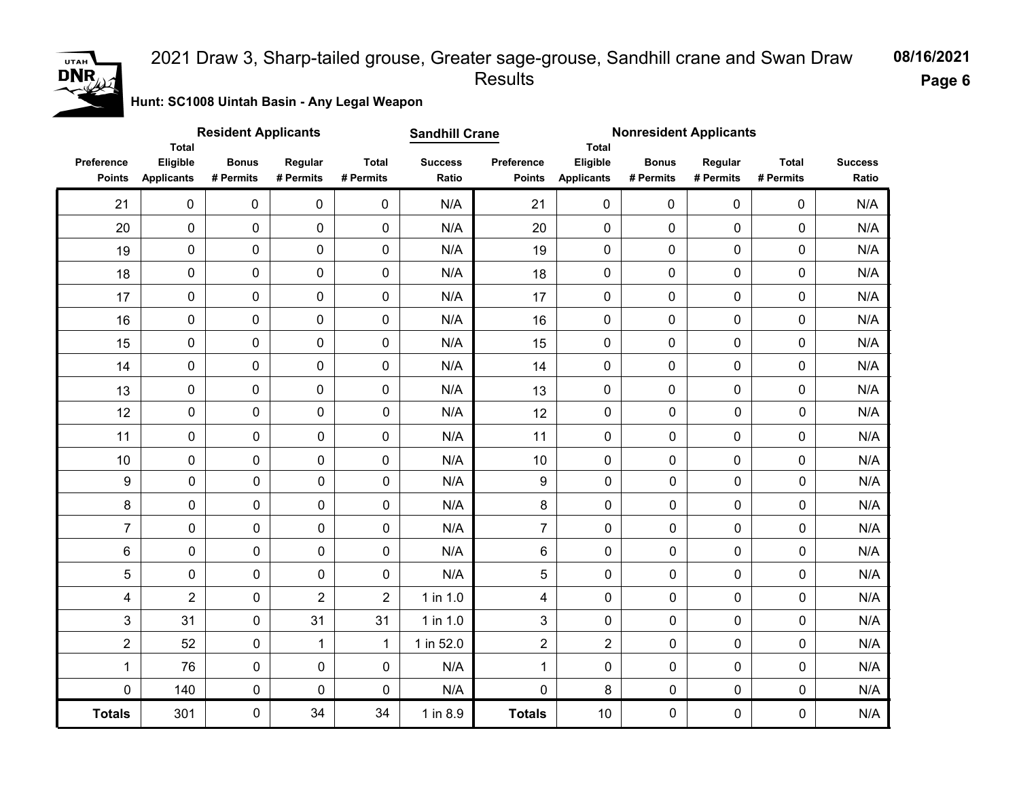#### 2021 Draw 3, Sharp-tailed grouse, Greater sage-grouse, Sandhill crane and Swan Draw Results

**08/16/2021**

**Page 6**

**Hunt: SC1008 Uintah Basin - Any Legal Weapon** 

|                             | <b>Total</b>                  | <b>Resident Applicants</b> |                      |                           | <b>Sandhill Crane</b>   |                             | <b>Total</b>                  | <b>Nonresident Applicants</b> |                      |                           |                         |
|-----------------------------|-------------------------------|----------------------------|----------------------|---------------------------|-------------------------|-----------------------------|-------------------------------|-------------------------------|----------------------|---------------------------|-------------------------|
| Preference<br><b>Points</b> | Eligible<br><b>Applicants</b> | <b>Bonus</b><br># Permits  | Regular<br># Permits | <b>Total</b><br># Permits | <b>Success</b><br>Ratio | Preference<br><b>Points</b> | Eligible<br><b>Applicants</b> | <b>Bonus</b><br># Permits     | Regular<br># Permits | <b>Total</b><br># Permits | <b>Success</b><br>Ratio |
| 21                          | $\mathbf 0$                   | 0                          | 0                    | $\mathbf 0$               | N/A                     | 21                          | 0                             | $\mathbf 0$                   | $\mathbf 0$          | 0                         | N/A                     |
| 20                          | 0                             | 0                          | $\pmb{0}$            | $\mathbf 0$               | N/A                     | 20                          | 0                             | $\pmb{0}$                     | 0                    | 0                         | N/A                     |
| 19                          | 0                             | 0                          | $\mathbf 0$          | $\mathbf 0$               | N/A                     | 19                          | 0                             | $\mathbf 0$                   | 0                    | $\mathbf 0$               | N/A                     |
| 18                          | 0                             | $\pmb{0}$                  | $\mathbf 0$          | $\mathbf 0$               | N/A                     | 18                          | 0                             | $\mathbf 0$                   | $\mathbf 0$          | $\mathbf 0$               | N/A                     |
| 17                          | 0                             | $\pmb{0}$                  | 0                    | $\pmb{0}$                 | N/A                     | 17                          | 0                             | $\mathbf 0$                   | $\mathbf 0$          | 0                         | N/A                     |
| 16                          | 0                             | 0                          | $\mathbf 0$          | $\pmb{0}$                 | N/A                     | 16                          | 0                             | $\mathbf 0$                   | 0                    | $\pmb{0}$                 | N/A                     |
| 15                          | 0                             | 0                          | $\mathbf 0$          | $\mathbf 0$               | N/A                     | 15                          | 0                             | $\mathbf 0$                   | 0                    | 0                         | N/A                     |
| 14                          | 0                             | 0                          | $\mathbf 0$          | $\mathbf 0$               | N/A                     | 14                          | $\mathbf 0$                   | $\mathbf 0$                   | $\mathbf 0$          | $\mathbf 0$               | N/A                     |
| 13                          | 0                             | 0                          | $\pmb{0}$            | $\mathbf 0$               | N/A                     | 13                          | 0                             | $\mathbf 0$                   | 0                    | $\pmb{0}$                 | N/A                     |
| 12                          | 0                             | $\pmb{0}$                  | $\mathbf 0$          | 0                         | N/A                     | 12                          | $\mathsf{O}\xspace$           | $\mathbf 0$                   | $\mathbf 0$          | $\mathbf 0$               | N/A                     |
| 11                          | 0                             | $\pmb{0}$                  | $\mathsf{O}\xspace$  | $\mathsf{O}\xspace$       | N/A                     | 11                          | $\mathbf 0$                   | 0                             | 0                    | 0                         | N/A                     |
| 10                          | 0                             | 0                          | $\mathbf 0$          | 0                         | N/A                     | 10                          | $\mathbf 0$                   | 0                             | 0                    | 0                         | N/A                     |
| $\boldsymbol{9}$            | $\pmb{0}$                     | $\pmb{0}$                  | 0                    | 0                         | N/A                     | 9                           | 0                             | 0                             | $\mathbf 0$          | $\pmb{0}$                 | N/A                     |
| 8                           | $\pmb{0}$                     | $\pmb{0}$                  | 0                    | 0                         | N/A                     | 8                           | 0                             | 0                             | $\mathbf 0$          | $\pmb{0}$                 | N/A                     |
| $\overline{7}$              | 0                             | $\mathsf{O}\xspace$        | 0                    | 0                         | N/A                     | $\overline{7}$              | 0                             | 0                             | $\mathbf 0$          | $\pmb{0}$                 | N/A                     |
| 6                           | $\pmb{0}$                     | $\mathbf 0$                | 0                    | 0                         | N/A                     | 6                           | 0                             | $\mathbf 0$                   | $\mathbf 0$          | $\mathbf 0$               | N/A                     |
| 5                           | $\pmb{0}$                     | $\pmb{0}$                  | 0                    | 0                         | N/A                     | 5                           | $\mathbf 0$                   | 0                             | $\mathbf 0$          | $\mathbf 0$               | N/A                     |
| 4                           | $\overline{2}$                | $\pmb{0}$                  | $\overline{2}$       | $\overline{2}$            | 1 in 1.0                | $\overline{4}$              | 0                             | 0                             | $\mathbf 0$          | $\mathbf 0$               | N/A                     |
| 3                           | 31                            | $\mathsf{O}\xspace$        | 31                   | 31                        | 1 in 1.0                | 3                           | 0                             | 0                             | $\mathbf 0$          | $\mathbf 0$               | N/A                     |
| $\overline{c}$              | 52                            | $\pmb{0}$                  | 1                    | 1                         | 1 in 52.0               | $\overline{2}$              | $\overline{2}$                | 0                             | $\mathbf 0$          | $\mathbf 0$               | N/A                     |
| $\mathbf{1}$                | 76                            | $\pmb{0}$                  | 0                    | 0                         | N/A                     | $\mathbf 1$                 | 0                             | 0                             | $\mathbf 0$          | $\mathbf 0$               | N/A                     |
| 0                           | 140                           | $\mathsf{O}\xspace$        | 0                    | 0                         | N/A                     | $\mathbf 0$                 | 8                             | $\pmb{0}$                     | $\pmb{0}$            | $\pmb{0}$                 | N/A                     |
| <b>Totals</b>               | 301                           | $\mathsf{O}\xspace$        | 34                   | 34                        | 1 in 8.9                | <b>Totals</b>               | $10$                          | 0                             | $\pmb{0}$            | $\mathbf 0$               | N/A                     |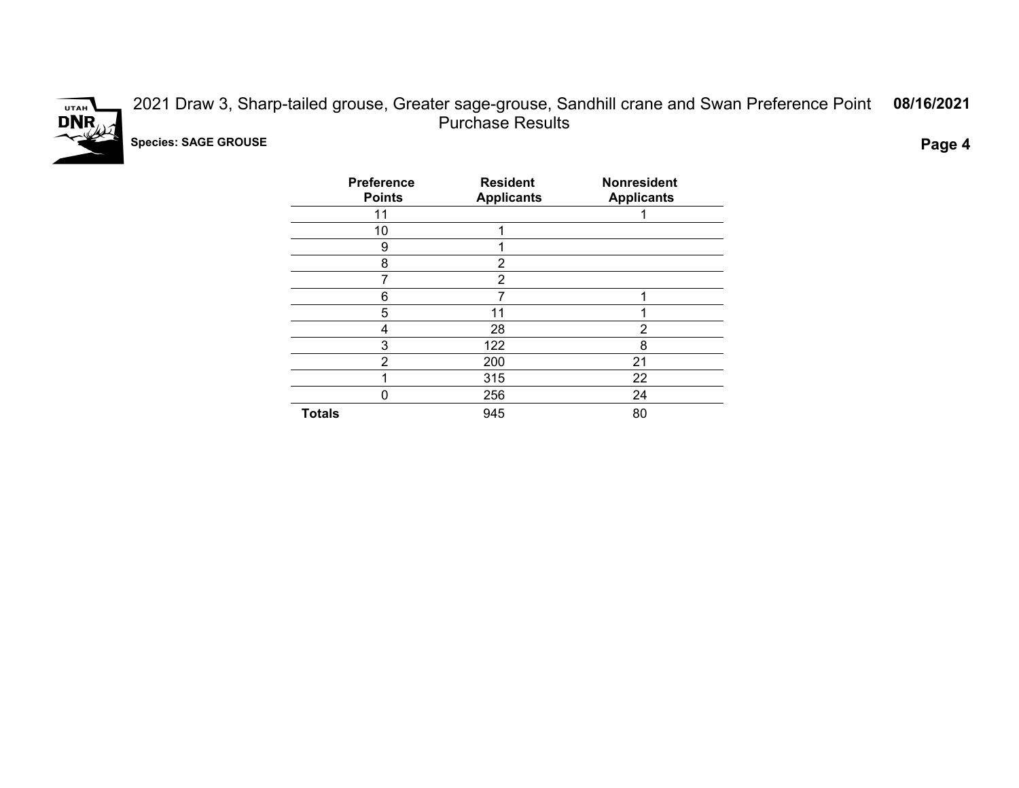

2021 Draw 3, Sharp-tailed grouse, Greater sage-grouse, Sandhill crane and Swan Preference Point Purchase Results **08/16/2021 Species: SAGE GROUSE Page 4**

| <b>Preference</b><br><b>Points</b> | <b>Resident</b><br><b>Applicants</b> | <b>Nonresident</b><br><b>Applicants</b> |
|------------------------------------|--------------------------------------|-----------------------------------------|
| 11                                 |                                      |                                         |
| 10                                 |                                      |                                         |
| 9                                  |                                      |                                         |
| 8                                  | 2                                    |                                         |
|                                    | $\overline{2}$                       |                                         |
| 6                                  | 7                                    | 1                                       |
| 5                                  | 11                                   |                                         |
| 4                                  | 28                                   | 2                                       |
| 3                                  | 122                                  | 8                                       |
| 2                                  | 200                                  | 21                                      |
|                                    | 315                                  | 22                                      |
| 0                                  | 256                                  | 24                                      |
| <b>Totals</b>                      | 945                                  | 80                                      |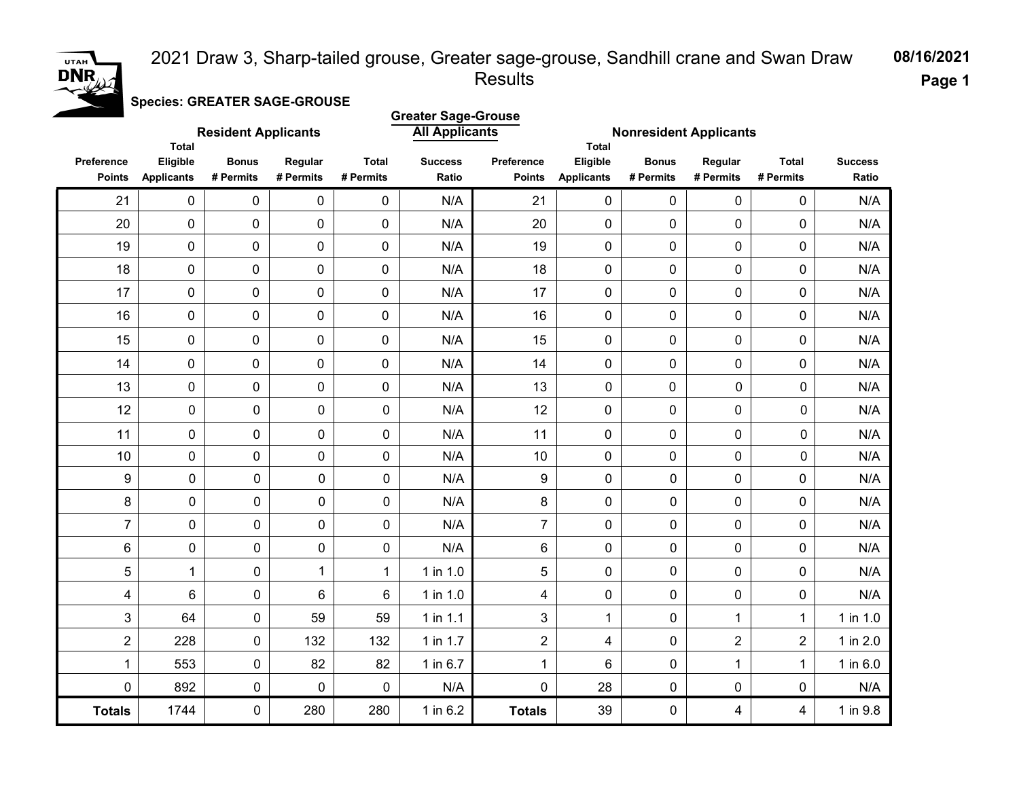#### 2021 Draw 3, Sharp-tailed grouse, Greater sage-grouse, Sandhill crane and Swan Draw Results



**Page 1**

**08/16/2021**

**Species: GREATER SAGE-GROUSE**

|                             | <b>Total</b>                  | <b>Resident Applicants</b> |                      |                           | <b>Greater Sage-Grouse</b><br><b>All Applicants</b><br><b>Nonresident Applicants</b><br><b>Total</b> |                             |                               |                           |                         |                           |                         |
|-----------------------------|-------------------------------|----------------------------|----------------------|---------------------------|------------------------------------------------------------------------------------------------------|-----------------------------|-------------------------------|---------------------------|-------------------------|---------------------------|-------------------------|
| Preference<br><b>Points</b> | Eligible<br><b>Applicants</b> | <b>Bonus</b><br># Permits  | Regular<br># Permits | <b>Total</b><br># Permits | <b>Success</b><br>Ratio                                                                              | Preference<br><b>Points</b> | Eligible<br><b>Applicants</b> | <b>Bonus</b><br># Permits | Regular<br># Permits    | <b>Total</b><br># Permits | <b>Success</b><br>Ratio |
| 21                          | $\pmb{0}$                     | $\pmb{0}$                  | $\pmb{0}$            | $\pmb{0}$                 | N/A                                                                                                  | 21                          | $\mathbf 0$                   | $\pmb{0}$                 | 0                       | $\pmb{0}$                 | N/A                     |
| 20                          | 0                             | $\mathbf 0$                | $\mathbf 0$          | 0                         | N/A                                                                                                  | 20                          | $\mathbf 0$                   | 0                         | 0                       | 0                         | N/A                     |
| 19                          | 0                             | $\mathbf 0$                | $\mathbf 0$          | $\pmb{0}$                 | N/A                                                                                                  | 19                          | $\mathbf 0$                   | 0                         | 0                       | 0                         | N/A                     |
| 18                          | 0                             | 0                          | $\pmb{0}$            | 0                         | N/A                                                                                                  | 18                          | $\mathbf 0$                   | 0                         | 0                       | 0                         | N/A                     |
| 17                          | $\pmb{0}$                     | $\pmb{0}$                  | $\mathbf 0$          | 0                         | N/A                                                                                                  | 17                          | $\mathbf 0$                   | $\pmb{0}$                 | 0                       | $\pmb{0}$                 | N/A                     |
| 16                          | 0                             | $\mathbf 0$                | $\mathbf 0$          | $\mathbf 0$               | N/A                                                                                                  | 16                          | $\mathbf 0$                   | 0                         | 0                       | 0                         | N/A                     |
| 15                          | 0                             | $\mathbf 0$                | $\mathbf 0$          | 0                         | N/A                                                                                                  | 15                          | $\mathbf 0$                   | 0                         | 0                       | $\mathbf 0$               | N/A                     |
| 14                          | 0                             | $\mathbf 0$                | $\mathbf 0$          | 0                         | N/A                                                                                                  | 14                          | $\mathbf 0$                   | 0                         | 0                       | $\mathbf 0$               | N/A                     |
| 13                          | $\pmb{0}$                     | 0                          | $\mathbf 0$          | 0                         | N/A                                                                                                  | 13                          | 0                             | $\mathbf 0$               | 0                       | $\mathbf 0$               | N/A                     |
| 12                          | $\pmb{0}$                     | 0                          | 0                    | $\pmb{0}$                 | N/A                                                                                                  | 12                          | $\pmb{0}$                     | 0                         | $\pmb{0}$               | 0                         | N/A                     |
| 11                          | $\pmb{0}$                     | 0                          | 0                    | $\mathbf 0$               | N/A                                                                                                  | 11                          | $\mathbf 0$                   | 0                         | $\mathbf 0$             | 0                         | N/A                     |
| 10                          | $\mathsf{O}\xspace$           | 0                          | 0                    | $\pmb{0}$                 | N/A                                                                                                  | 10                          | $\mathbf 0$                   | $\mathbf 0$               | $\pmb{0}$               | 0                         | N/A                     |
| $\boldsymbol{9}$            | $\mathbf 0$                   | $\pmb{0}$                  | 0                    | $\mathbf 0$               | N/A                                                                                                  | 9                           | 0                             | 0                         | $\mathbf 0$             | 0                         | N/A                     |
| 8                           | $\pmb{0}$                     | 0                          | 0                    | $\pmb{0}$                 | N/A                                                                                                  | 8                           | 0                             | 0                         | $\pmb{0}$               | 0                         | N/A                     |
| $\overline{7}$              | $\pmb{0}$                     | 0                          | 0                    | $\pmb{0}$                 | N/A                                                                                                  | $\overline{7}$              | 0                             | 0                         | $\pmb{0}$               | 0                         | N/A                     |
| 6                           | $\pmb{0}$                     | 0                          | 0                    | 0                         | N/A                                                                                                  | 6                           | 0                             | 0                         | $\mathbf 0$             | 0                         | N/A                     |
| 5                           | $\mathbf{1}$                  | $\pmb{0}$                  | 1                    | $\mathbf 1$               | 1 in 1.0                                                                                             | 5                           | 0                             | 0                         | $\pmb{0}$               | 0                         | N/A                     |
| 4                           | $\,6\,$                       | 0                          | 6                    | $6\phantom{1}$            | 1 in 1.0                                                                                             | 4                           | 0                             | 0                         | $\pmb{0}$               | 0                         | N/A                     |
| 3                           | 64                            | 0                          | 59                   | 59                        | $1$ in 1.1                                                                                           | 3                           | $\mathbf{1}$                  | 0                         | $\mathbf{1}$            | $\mathbf{1}$              | $1$ in $1.0$            |
| $\overline{2}$              | 228                           | 0                          | 132                  | 132                       | 1 in 1.7                                                                                             | $\overline{2}$              | 4                             | 0                         | $\overline{2}$          | $\overline{2}$            | 1 in 2.0                |
| 1                           | 553                           | 0                          | 82                   | 82                        | 1 in 6.7                                                                                             | 1                           | 6                             | 0                         | $\mathbf{1}$            | $\mathbf{1}$              | 1 in 6.0                |
| $\pmb{0}$                   | 892                           | 0                          | $\pmb{0}$            | $\pmb{0}$                 | N/A                                                                                                  | $\pmb{0}$                   | 28                            | $\pmb{0}$                 | $\pmb{0}$               | 0                         | N/A                     |
| <b>Totals</b>               | 1744                          | 0                          | 280                  | 280                       | 1 in 6.2                                                                                             | <b>Totals</b>               | 39                            | 0                         | $\overline{\mathbf{4}}$ | 4                         | 1 in 9.8                |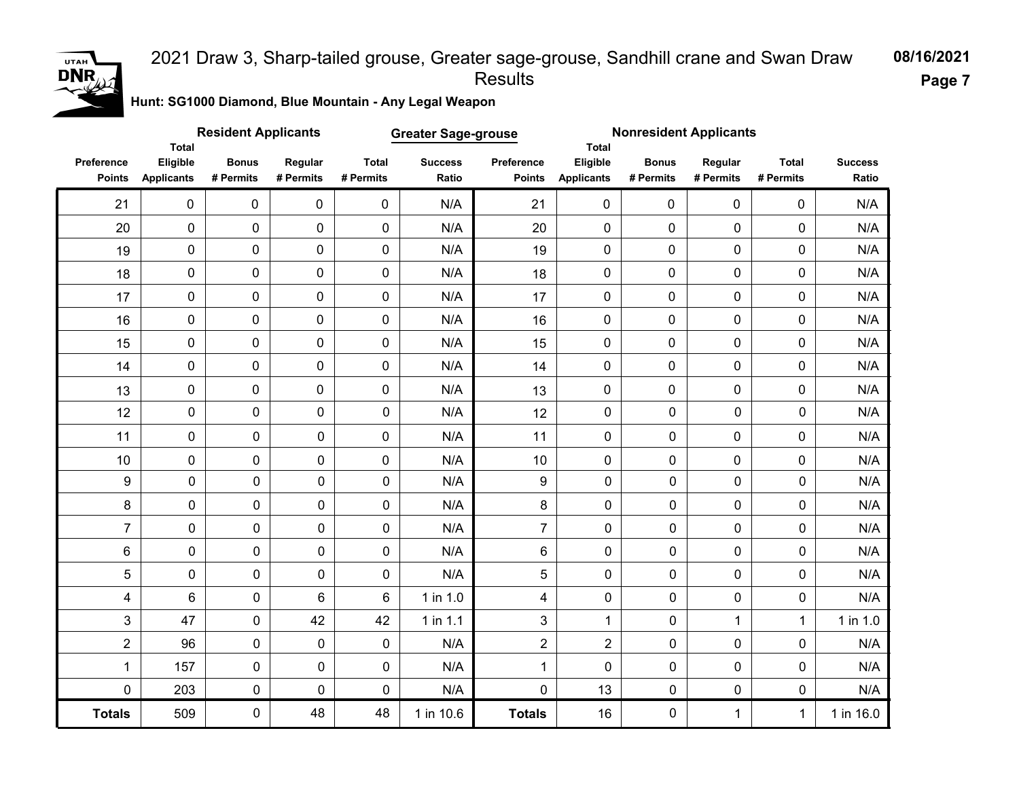### UTAH  $DNR_{\iota}$

#### 2021 Draw 3, Sharp-tailed grouse, Greater sage-grouse, Sandhill crane and Swan Draw Results

**08/16/2021 Page 7**

**Hunt: SG1000 Diamond, Blue Mountain - Any Legal Weapon** 

|                             |                                               | <b>Resident Applicants</b> |                      |                           | <b>Greater Sage-grouse</b> |                             |                               | <b>Nonresident Applicants</b><br><b>Total</b> |                      |                           |                         |
|-----------------------------|-----------------------------------------------|----------------------------|----------------------|---------------------------|----------------------------|-----------------------------|-------------------------------|-----------------------------------------------|----------------------|---------------------------|-------------------------|
| Preference<br><b>Points</b> | <b>Total</b><br>Eligible<br><b>Applicants</b> | <b>Bonus</b><br># Permits  | Regular<br># Permits | <b>Total</b><br># Permits | <b>Success</b><br>Ratio    | Preference<br><b>Points</b> | Eligible<br><b>Applicants</b> | <b>Bonus</b><br># Permits                     | Regular<br># Permits | <b>Total</b><br># Permits | <b>Success</b><br>Ratio |
| 21                          | $\mathbf 0$                                   | 0                          | 0                    | $\pmb{0}$                 | N/A                        | 21                          | $\pmb{0}$                     | $\pmb{0}$                                     | $\mathbf{0}$         | 0                         | N/A                     |
| 20                          | $\mathbf 0$                                   | 0                          | 0                    | $\mathbf 0$               | N/A                        | 20                          | 0                             | $\mathbf 0$                                   | $\mathbf 0$          | 0                         | N/A                     |
| 19                          | $\pmb{0}$                                     | 0                          | 0                    | $\mathbf 0$               | N/A                        | 19                          | $\mathbf 0$                   | $\mathbf 0$                                   | 0                    | 0                         | N/A                     |
| 18                          | $\pmb{0}$                                     | 0                          | 0                    | $\mathbf 0$               | N/A                        | 18                          | 0                             | $\mathbf 0$                                   | $\pmb{0}$            | 0                         | N/A                     |
| 17                          | $\pmb{0}$                                     | 0                          | 0                    | $\mathbf 0$               | N/A                        | 17                          | 0                             | $\pmb{0}$                                     | $\pmb{0}$            | 0                         | N/A                     |
| 16                          | $\pmb{0}$                                     | 0                          | 0                    | $\mathbf 0$               | N/A                        | 16                          | 0                             | $\mathbf 0$                                   | $\mathbf 0$          | 0                         | N/A                     |
| 15                          | $\pmb{0}$                                     | 0                          | 0                    | $\mathbf 0$               | N/A                        | 15                          | 0                             | $\pmb{0}$                                     | $\pmb{0}$            | 0                         | N/A                     |
| 14                          | $\pmb{0}$                                     | 0                          | 0                    | $\pmb{0}$                 | N/A                        | 14                          | $\pmb{0}$                     | $\mathbf 0$                                   | 0                    | 0                         | N/A                     |
| 13                          | $\mathbf 0$                                   | 0                          | 0                    | $\mathsf{O}\xspace$       | N/A                        | 13                          | 0                             | $\pmb{0}$                                     | $\pmb{0}$            | 0                         | N/A                     |
| 12                          | $\mathsf{O}\xspace$                           | 0                          | $\pmb{0}$            | 0                         | N/A                        | 12                          | $\pmb{0}$                     | $\pmb{0}$                                     | 0                    | 0                         | N/A                     |
| 11                          | $\mathsf{O}\xspace$                           | $\pmb{0}$                  | 0                    | $\mathsf{O}\xspace$       | N/A                        | 11                          | $\mathbf 0$                   | $\pmb{0}$                                     | $\pmb{0}$            | 0                         | N/A                     |
| 10                          | $\mathbf 0$                                   | $\pmb{0}$                  | 0                    | $\mathbf 0$               | N/A                        | $10$                        | $\pmb{0}$                     | 0                                             | 0                    | 0                         | N/A                     |
| $\boldsymbol{9}$            | $\pmb{0}$                                     | $\pmb{0}$                  | 0                    | 0                         | N/A                        | 9                           | $\pmb{0}$                     | $\pmb{0}$                                     | 0                    | 0                         | N/A                     |
| 8                           | 0                                             | $\pmb{0}$                  | 0                    | 0                         | N/A                        | 8                           | 0                             | $\mathbf 0$                                   | 0                    | 0                         | N/A                     |
| $\overline{7}$              | 0                                             | $\pmb{0}$                  | $\mathbf 0$          | 0                         | N/A                        | $\overline{7}$              | $\mathbf 0$                   | $\mathbf 0$                                   | $\mathbf 0$          | 0                         | N/A                     |
| $\,6\,$                     | 0                                             | $\pmb{0}$                  | 0                    | 0                         | N/A                        | 6                           | $\mathbf 0$                   | $\mathbf 0$                                   | 0                    | 0                         | N/A                     |
| 5                           | 0                                             | $\pmb{0}$                  | 0                    | 0                         | N/A                        | 5                           | $\mathbf 0$                   | $\mathbf 0$                                   | 0                    | 0                         | N/A                     |
| 4                           | 6                                             | $\mathbf 0$                | 6                    | 6                         | 1 in 1.0                   | $\overline{\mathbf{4}}$     | $\mathbf 0$                   | $\mathbf 0$                                   | 0                    | 0                         | N/A                     |
| 3                           | 47                                            | $\mathsf{O}\xspace$        | 42                   | 42                        | 1 in 1.1                   | $\mathfrak{S}$              | 1                             | $\mathbf 0$                                   | $\mathbf{1}$         | $\mathbf{1}$              | $1$ in $1.0$            |
| $\overline{2}$              | 96                                            | $\pmb{0}$                  | 0                    | 0                         | N/A                        | $\overline{2}$              | $\overline{2}$                | $\pmb{0}$                                     | 0                    | 0                         | N/A                     |
| 1                           | 157                                           | $\pmb{0}$                  | 0                    | 0                         | N/A                        | $\mathbf 1$                 | $\mathbf 0$                   | $\pmb{0}$                                     | 0                    | 0                         | N/A                     |
| $\mathbf 0$                 | 203                                           | $\pmb{0}$                  | 0                    | $\pmb{0}$                 | N/A                        | 0                           | 13                            | $\pmb{0}$                                     | 0                    | 0                         | N/A                     |
| <b>Totals</b>               | 509                                           | $\pmb{0}$                  | 48                   | 48                        | 1 in 10.6                  | <b>Totals</b>               | 16                            | $\pmb{0}$                                     | $\mathbf 1$          | $\mathbf{1}$              | 1 in 16.0               |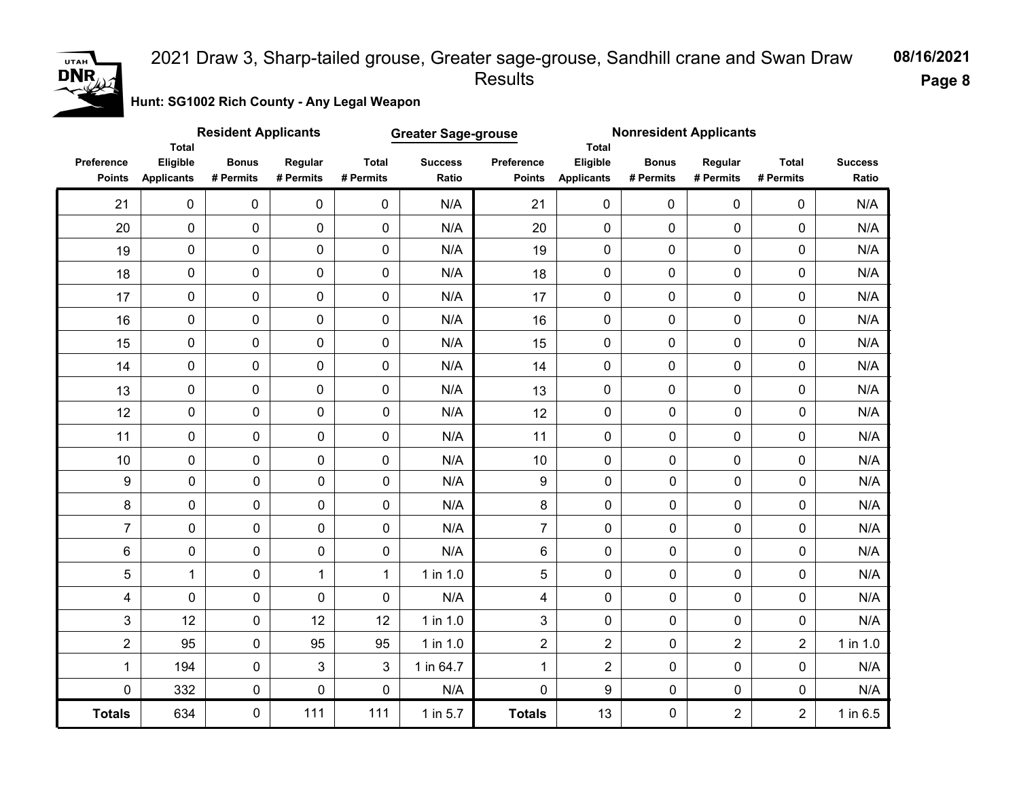# **DNR**

#### 2021 Draw 3, Sharp-tailed grouse, Greater sage-grouse, Sandhill crane and Swan Draw Results

**08/16/2021**

**Page 8**

**Hunt: SG1002 Rich County - Any Legal Weapon** 

|                             | <b>Total</b>                  | <b>Resident Applicants</b> |                      |                           | <b>Greater Sage-grouse</b> |                             |                               | <b>Nonresident Applicants</b><br>Total |                      |                           |                         |
|-----------------------------|-------------------------------|----------------------------|----------------------|---------------------------|----------------------------|-----------------------------|-------------------------------|----------------------------------------|----------------------|---------------------------|-------------------------|
| Preference<br><b>Points</b> | Eligible<br><b>Applicants</b> | <b>Bonus</b><br># Permits  | Regular<br># Permits | <b>Total</b><br># Permits | <b>Success</b><br>Ratio    | Preference<br><b>Points</b> | Eligible<br><b>Applicants</b> | <b>Bonus</b><br># Permits              | Regular<br># Permits | <b>Total</b><br># Permits | <b>Success</b><br>Ratio |
| 21                          | $\mathbf 0$                   | 0                          | $\mathbf 0$          | $\mathbf 0$               | N/A                        | 21                          | 0                             | 0                                      | $\mathbf 0$          | 0                         | N/A                     |
| 20                          | $\pmb{0}$                     | 0                          | 0                    | 0                         | N/A                        | 20                          | $\mathbf 0$                   | $\mathbf 0$                            | $\mathbf 0$          | 0                         | N/A                     |
| 19                          | $\pmb{0}$                     | 0                          | $\mathbf 0$          | 0                         | N/A                        | 19                          | $\pmb{0}$                     | $\pmb{0}$                              | 0                    | 0                         | N/A                     |
| 18                          | 0                             | 0                          | $\mathbf 0$          | 0                         | N/A                        | 18                          | $\mathbf 0$                   | $\pmb{0}$                              | 0                    | 0                         | N/A                     |
| 17                          | $\pmb{0}$                     | 0                          | 0                    | 0                         | N/A                        | 17                          | $\pmb{0}$                     | $\pmb{0}$                              | 0                    | 0                         | N/A                     |
| 16                          | 0                             | $\pmb{0}$                  | $\mathbf 0$          | $\mathbf 0$               | N/A                        | 16                          | $\mathbf 0$                   | $\mathbf 0$                            | $\mathbf 0$          | 0                         | N/A                     |
| 15                          | $\pmb{0}$                     | $\pmb{0}$                  | $\mathbf 0$          | 0                         | N/A                        | 15                          | $\mathbf 0$                   | $\mathbf 0$                            | $\mathbf 0$          | 0                         | N/A                     |
| 14                          | $\pmb{0}$                     | 0                          | $\mathbf 0$          | 0                         | N/A                        | 14                          | $\mathbf 0$                   | $\mathbf 0$                            | $\mathbf 0$          | 0                         | N/A                     |
| 13                          | $\pmb{0}$                     | 0                          | $\pmb{0}$            | 0                         | N/A                        | 13                          | $\mathbf 0$                   | $\mathbf 0$                            | $\pmb{0}$            | 0                         | N/A                     |
| 12                          | 0                             | $\pmb{0}$                  | $\pmb{0}$            | $\pmb{0}$                 | N/A                        | 12                          | $\pmb{0}$                     | $\mathbf 0$                            | 0                    | 0                         | N/A                     |
| 11                          | 0                             | $\mathbf 0$                | $\mathsf{O}\xspace$  | $\pmb{0}$                 | N/A                        | 11                          | $\mathbf 0$                   | $\pmb{0}$                              | $\pmb{0}$            | 0                         | N/A                     |
| 10                          | 0                             | $\mathbf 0$                | $\mathbf 0$          | 0                         | N/A                        | $10$                        | $\pmb{0}$                     | 0                                      | $\pmb{0}$            | 0                         | N/A                     |
| $\boldsymbol{9}$            | $\pmb{0}$                     | $\pmb{0}$                  | 0                    | 0                         | N/A                        | 9                           | $\mathbf 0$                   | $\mathbf 0$                            | 0                    | $\pmb{0}$                 | N/A                     |
| 8                           | $\pmb{0}$                     | $\pmb{0}$                  | 0                    | 0                         | N/A                        | 8                           | $\mathbf 0$                   | $\mathbf 0$                            | 0                    | 0                         | N/A                     |
| $\overline{7}$              | $\pmb{0}$                     | $\mathsf{O}\xspace$        | 0                    | 0                         | N/A                        | $\overline{7}$              | $\mathbf 0$                   | $\mathbf 0$                            | 0                    | 0                         | N/A                     |
| 6                           | $\pmb{0}$                     | $\pmb{0}$                  | 0                    | 0                         | N/A                        | 6                           | $\mathbf 0$                   | $\pmb{0}$                              | 0                    | 0                         | N/A                     |
| 5                           | $\mathbf 1$                   | $\pmb{0}$                  | $\mathbf{1}$         | $\mathbf{1}$              | 1 in 1.0                   | 5                           | $\mathbf 0$                   | $\mathbf 0$                            | 0                    | 0                         | N/A                     |
| 4                           | $\pmb{0}$                     | $\mathsf{O}\xspace$        | 0                    | 0                         | N/A                        | 4                           | $\mathbf 0$                   | $\pmb{0}$                              | 0                    | 0                         | N/A                     |
| 3                           | 12                            | $\pmb{0}$                  | 12                   | 12                        | 1 in 1.0                   | 3                           | $\mathbf 0$                   | $\mathbf 0$                            | 0                    | 0                         | N/A                     |
| $\overline{2}$              | 95                            | $\mathsf{O}\xspace$        | 95                   | 95                        | 1 in 1.0                   | $\overline{2}$              | $\overline{2}$                | $\pmb{0}$                              | $\overline{2}$       | $\overline{2}$            | 1 in 1.0                |
| $\mathbf{1}$                | 194                           | $\mathsf{O}\xspace$        | 3                    | 3                         | 1 in 64.7                  | $\mathbf{1}$                | $\overline{2}$                | $\mathbf 0$                            | 0                    | 0                         | N/A                     |
| 0                           | 332                           | $\pmb{0}$                  | 0                    | 0                         | N/A                        | 0                           | $\boldsymbol{9}$              | $\pmb{0}$                              | $\pmb{0}$            | 0                         | N/A                     |
| <b>Totals</b>               | 634                           | $\mathsf{O}\xspace$        | 111                  | 111                       | 1 in 5.7                   | <b>Totals</b>               | 13                            | $\mathbf 0$                            | $\overline{2}$       | $\overline{2}$            | 1 in 6.5                |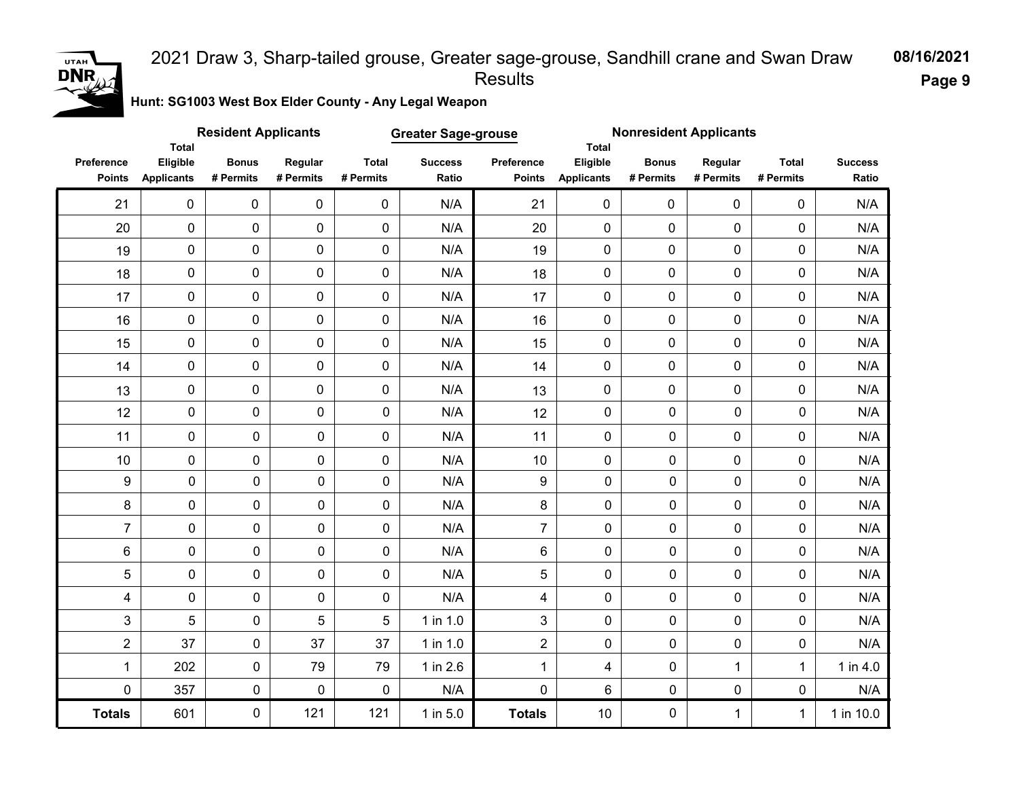#### **08/16/2021** 2021 Draw 3, Sharp-tailed grouse, Greater sage-grouse, Sandhill crane and Swan Draw Results

**Page 9**

**Hunt: SG1003 West Box Elder County - Any Legal Weapon** 

|                             | Total                         | <b>Resident Applicants</b> |                      |                           | <b>Greater Sage-grouse</b> |                             | <b>Nonresident Applicants</b><br><b>Total</b> |                           |                      |                           |                         |
|-----------------------------|-------------------------------|----------------------------|----------------------|---------------------------|----------------------------|-----------------------------|-----------------------------------------------|---------------------------|----------------------|---------------------------|-------------------------|
| Preference<br><b>Points</b> | Eligible<br><b>Applicants</b> | <b>Bonus</b><br># Permits  | Regular<br># Permits | <b>Total</b><br># Permits | <b>Success</b><br>Ratio    | Preference<br><b>Points</b> | Eligible<br><b>Applicants</b>                 | <b>Bonus</b><br># Permits | Regular<br># Permits | <b>Total</b><br># Permits | <b>Success</b><br>Ratio |
| 21                          | $\mathbf 0$                   | 0                          | 0                    | $\pmb{0}$                 | N/A                        | 21                          | 0                                             | 0                         | $\mathbf 0$          | 0                         | N/A                     |
| 20                          | 0                             | 0                          | 0                    | $\mathbf 0$               | N/A                        | 20                          | 0                                             | 0                         | $\mathbf 0$          | 0                         | N/A                     |
| 19                          | 0                             | 0                          | 0                    | $\mathbf 0$               | N/A                        | 19                          | 0                                             | 0                         | 0                    | 0                         | N/A                     |
| 18                          | $\pmb{0}$                     | 0                          | 0                    | $\mathbf 0$               | N/A                        | 18                          | 0                                             | $\mathbf 0$               | $\mathbf 0$          | 0                         | N/A                     |
| 17                          | $\pmb{0}$                     | 0                          | 0                    | $\mathbf 0$               | N/A                        | 17                          | $\mathbf 0$                                   | 0                         | $\pmb{0}$            | 0                         | N/A                     |
| 16                          | $\pmb{0}$                     | 0                          | 0                    | $\mathbf 0$               | N/A                        | 16                          | 0                                             | $\mathbf 0$               | $\mathbf 0$          | 0                         | N/A                     |
| 15                          | $\pmb{0}$                     | 0                          | 0                    | $\mathbf 0$               | N/A                        | 15                          | 0                                             | $\mathbf 0$               | $\mathbf 0$          | 0                         | N/A                     |
| 14                          | $\pmb{0}$                     | 0                          | 0                    | $\mathbf 0$               | N/A                        | 14                          | $\mathbf 0$                                   | $\mathbf 0$               | 0                    | 0                         | N/A                     |
| 13                          | 0                             | 0                          | 0                    | $\mathbf 0$               | N/A                        | 13                          | $\mathbf 0$                                   | $\mathbf 0$               | $\mathbf 0$          | 0                         | N/A                     |
| 12                          | $\mathbf 0$                   | 0                          | $\pmb{0}$            | $\mathbf 0$               | N/A                        | 12                          | $\mathbf 0$                                   | $\mathbf 0$               | 0                    | 0                         | N/A                     |
| 11                          | $\mathbf 0$                   | 0                          | 0                    | 0                         | N/A                        | 11                          | $\mathbf 0$                                   | $\mathbf 0$               | $\mathbf 0$          | 0                         | N/A                     |
| 10                          | $\mathbf 0$                   | $\pmb{0}$                  | 0                    | 0                         | N/A                        | 10                          | $\mathbf 0$                                   | $\mathbf 0$               | $\mathbf 0$          | 0                         | N/A                     |
| $\boldsymbol{9}$            | $\pmb{0}$                     | $\pmb{0}$                  | $\pmb{0}$            | 0                         | N/A                        | $\boldsymbol{9}$            | $\mathbf 0$                                   | $\mathbf 0$               | 0                    | $\pmb{0}$                 | N/A                     |
| 8                           | $\pmb{0}$                     | $\pmb{0}$                  | $\pmb{0}$            | 0                         | N/A                        | 8                           | $\pmb{0}$                                     | $\mathbf 0$               | 0                    | 0                         | N/A                     |
| $\overline{7}$              | 0                             | $\pmb{0}$                  | 0                    | 0                         | N/A                        | $\overline{7}$              | $\mathbf 0$                                   | $\mathbf 0$               | 0                    | 0                         | N/A                     |
| $\,6$                       | 0                             | $\pmb{0}$                  | 0                    | 0                         | N/A                        | 6                           | $\mathbf 0$                                   | $\mathbf 0$               | 0                    | 0                         | N/A                     |
| 5                           | 0                             | $\pmb{0}$                  | 0                    | 0                         | N/A                        | 5                           | $\mathbf 0$                                   | $\mathbf 0$               | 0                    | 0                         | N/A                     |
| 4                           | 0                             | $\pmb{0}$                  | 0                    | 0                         | N/A                        | $\overline{\mathbf{4}}$     | $\pmb{0}$                                     | $\mathbf 0$               | 0                    | 0                         | N/A                     |
| 3                           | 5                             | $\pmb{0}$                  | 5                    | 5                         | 1 in 1.0                   | 3                           | 0                                             | $\pmb{0}$                 | 0                    | 0                         | N/A                     |
| $\overline{2}$              | 37                            | $\pmb{0}$                  | 37                   | 37                        | 1 in 1.0                   | $\overline{2}$              | $\pmb{0}$                                     | $\mathbf 0$               | 0                    | 0                         | N/A                     |
| 1                           | 202                           | $\pmb{0}$                  | 79                   | 79                        | 1 in 2.6                   | $\mathbf 1$                 | 4                                             | $\pmb{0}$                 | 1                    | $\mathbf{1}$              | 1 in 4.0                |
| $\mathbf 0$                 | 357                           | $\pmb{0}$                  | 0                    | $\mathbf 0$               | N/A                        | 0                           | 6                                             | $\pmb{0}$                 | 0                    | 0                         | N/A                     |
| <b>Totals</b>               | 601                           | 0                          | 121                  | 121                       | 1 in 5.0                   | <b>Totals</b>               | 10                                            | $\pmb{0}$                 | $\mathbf{1}$         | $\mathbf{1}$              | 1 in 10.0               |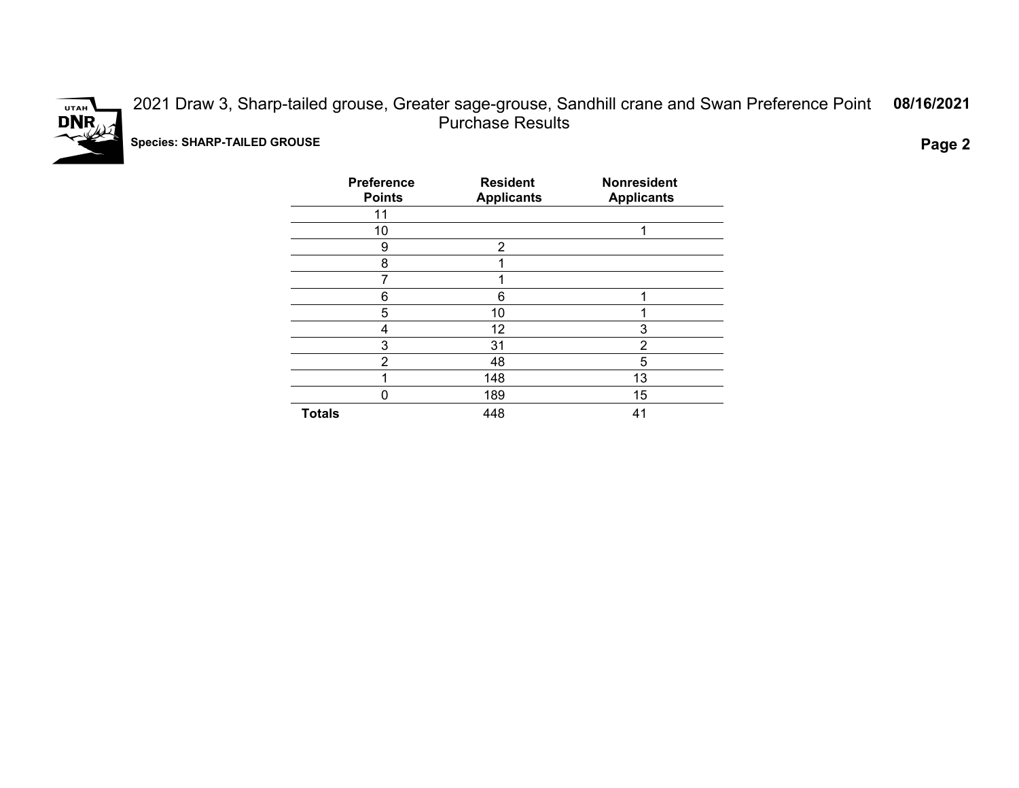

2021 Draw 3, Sharp-tailed grouse, Greater sage-grouse, Sandhill crane and Swan Preference Point Purchase Results **08/16/2021 Species: SHARP-TAILED GROUSE Page 2**

| <b>Preference</b><br><b>Points</b> | <b>Resident</b><br><b>Applicants</b> | <b>Nonresident</b><br><b>Applicants</b> |
|------------------------------------|--------------------------------------|-----------------------------------------|
| 11                                 |                                      |                                         |
| 10                                 |                                      | ◢                                       |
| 9                                  | $\overline{2}$                       |                                         |
| 8                                  |                                      |                                         |
| 7                                  |                                      |                                         |
| 6                                  | 6                                    | ٠                                       |
| 5                                  | 10                                   |                                         |
| 4                                  | 12                                   | 3                                       |
| 3                                  | 31                                   | 2                                       |
| $\overline{2}$                     | 48                                   | 5                                       |
|                                    | 148                                  | 13                                      |
| 0                                  | 189                                  | 15                                      |
| <b>Totals</b>                      | 448                                  | 41                                      |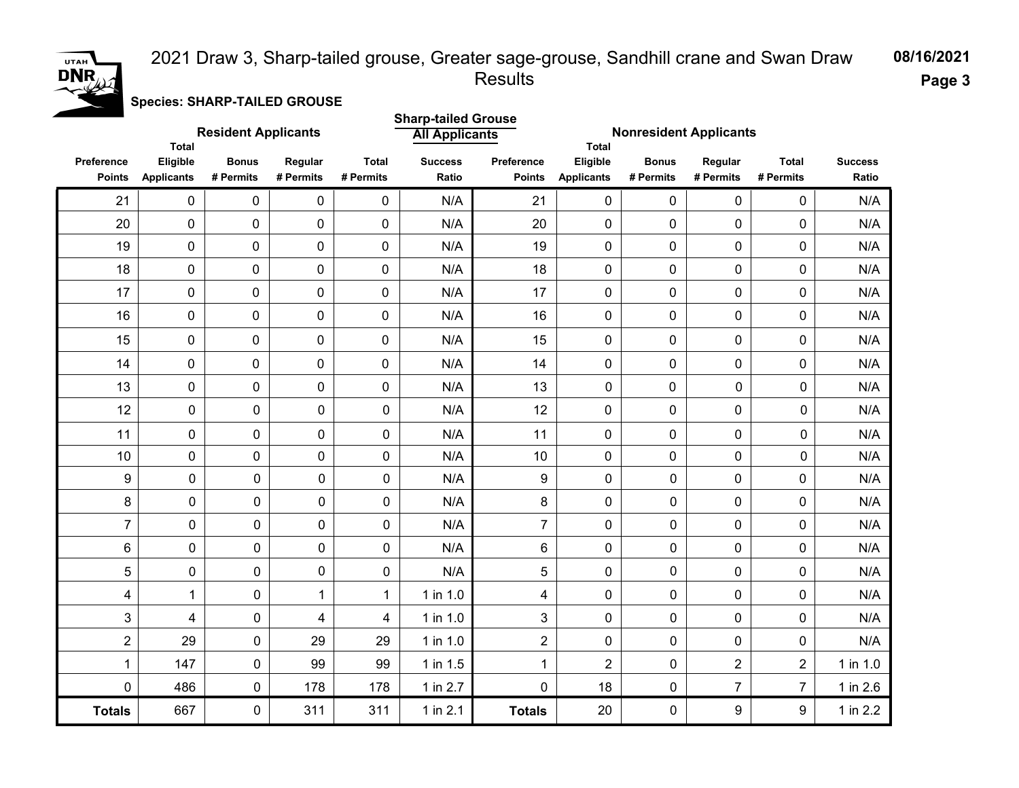#### 2021 Draw 3, Sharp-tailed grouse, Greater sage-grouse, Sandhill crane and Swan Draw Results



#### **Species: SHARP-TAILED GROUSE**

|                             |                                               | <b>Resident Applicants</b> |                      |                           | <b>Sharp-tailed Grouse</b><br><b>All Applicants</b> |                             | <b>Nonresident Applicants</b>          |                           |                      |                           |                         |
|-----------------------------|-----------------------------------------------|----------------------------|----------------------|---------------------------|-----------------------------------------------------|-----------------------------|----------------------------------------|---------------------------|----------------------|---------------------------|-------------------------|
| Preference<br><b>Points</b> | <b>Total</b><br>Eligible<br><b>Applicants</b> | <b>Bonus</b><br># Permits  | Regular<br># Permits | <b>Total</b><br># Permits | <b>Success</b><br>Ratio                             | Preference<br><b>Points</b> | Total<br>Eligible<br><b>Applicants</b> | <b>Bonus</b><br># Permits | Regular<br># Permits | <b>Total</b><br># Permits | <b>Success</b><br>Ratio |
| 21                          | $\pmb{0}$                                     | $\mathsf{O}\xspace$        | $\pmb{0}$            | 0                         | N/A                                                 | 21                          | $\pmb{0}$                              | $\pmb{0}$                 | 0                    | 0                         | N/A                     |
| 20                          | $\pmb{0}$                                     | 0                          | 0                    | 0                         | N/A                                                 | 20                          | 0                                      | $\mathbf 0$               | 0                    | 0                         | N/A                     |
| 19                          | 0                                             | $\mathsf{O}\xspace$        | $\mathbf 0$          | 0                         | N/A                                                 | 19                          | 0                                      | $\pmb{0}$                 | 0                    | 0                         | N/A                     |
| 18                          | 0                                             | 0                          | 0                    | 0                         | N/A                                                 | 18                          | 0                                      | $\mathbf 0$               | 0                    | 0                         | N/A                     |
| 17                          | $\pmb{0}$                                     | 0                          | 0                    | 0                         | N/A                                                 | 17                          | 0                                      | $\mathbf 0$               | $\mathbf 0$          | 0                         | N/A                     |
| 16                          | $\pmb{0}$                                     | 0                          | $\mathbf 0$          | 0                         | N/A                                                 | 16                          | 0                                      | $\pmb{0}$                 | $\mathbf 0$          | 0                         | N/A                     |
| 15                          | 0                                             | $\mathbf 0$                | 0                    | 0                         | N/A                                                 | 15                          | 0                                      | $\mathbf 0$               | $\mathbf 0$          | 0                         | N/A                     |
| 14                          | 0                                             | $\mathbf 0$                | 0                    | 0                         | N/A                                                 | 14                          | 0                                      | $\mathbf 0$               | 0                    | 0                         | N/A                     |
| 13                          | $\mathbf 0$                                   | 0                          | 0                    | $\overline{0}$            | N/A                                                 | 13                          | $\mathbf 0$                            | 0                         | $\mathbf 0$          | 0                         | N/A                     |
| 12                          | $\mathbf 0$                                   | 0                          | 0                    | $\mathbf 0$               | N/A                                                 | 12                          | 0                                      | $\mathbf 0$               | 0                    | 0                         | N/A                     |
| 11                          | $\mathsf{O}\xspace$                           | 0                          | 0                    | $\mathbf 0$               | N/A                                                 | 11                          | 0                                      | $\mathbf 0$               | 0                    | 0                         | N/A                     |
| 10                          | $\pmb{0}$                                     | 0                          | 0                    | $\mathbf 0$               | N/A                                                 | 10                          | 0                                      | $\pmb{0}$                 | 0                    | $\mathbf 0$               | N/A                     |
| 9                           | $\pmb{0}$                                     | 0                          | 0                    | 0                         | N/A                                                 | 9                           | $\mathbf 0$                            | 0                         | $\mathbf 0$          | 0                         | N/A                     |
| 8                           | 0                                             | 0                          | 0                    | 0                         | N/A                                                 | 8                           | 0                                      | 0                         | $\mathbf 0$          | 0                         | N/A                     |
| $\overline{7}$              | $\pmb{0}$                                     | 0                          | $\pmb{0}$            | $\pmb{0}$                 | N/A                                                 | $\overline{7}$              | $\pmb{0}$                              | 0                         | $\mathbf 0$          | 0                         | N/A                     |
| $\,6$                       | $\pmb{0}$                                     | 0                          | $\pmb{0}$            | $\mathbf 0$               | N/A                                                 | 6                           | $\pmb{0}$                              | 0                         | $\pmb{0}$            | 0                         | N/A                     |
| 5                           | $\pmb{0}$                                     | 0                          | $\pmb{0}$            | $\pmb{0}$                 | N/A                                                 | 5                           | $\pmb{0}$                              | 0                         | $\pmb{0}$            | 0                         | N/A                     |
| 4                           | 1                                             | 0                          | $\mathbf{1}$         | $\mathbf{1}$              | 1 in 1.0                                            | 4                           | $\mathbf 0$                            | 0                         | $\mathbf 0$          | 0                         | N/A                     |
| 3                           | 4                                             | 0                          | 4                    | $\overline{\mathbf{4}}$   | 1 in 1.0                                            | 3                           | $\overline{0}$                         | 0                         | 0                    | 0                         | N/A                     |
| $\overline{2}$              | 29                                            | 0                          | 29                   | 29                        | 1 in 1.0                                            | $\overline{2}$              | 0                                      | 0                         | $\mathbf 0$          | 0                         | N/A                     |
| $\mathbf{1}$                | 147                                           | 0                          | 99                   | 99                        | 1 in 1.5                                            | 1                           | $\overline{2}$                         | 0                         | $\overline{2}$       | $\overline{2}$            | 1 in 1.0                |
| $\mathbf 0$                 | 486                                           | 0                          | 178                  | 178                       | 1 in 2.7                                            | 0                           | 18                                     | 0                         | $\overline{7}$       | $\overline{7}$            | 1 in 2.6                |
| <b>Totals</b>               | 667                                           | 0                          | 311                  | 311                       | $1$ in $2.1$                                        | <b>Totals</b>               | 20                                     | 0                         | 9                    | 9                         | 1 in 2.2                |

**08/16/2021**

**Page 3**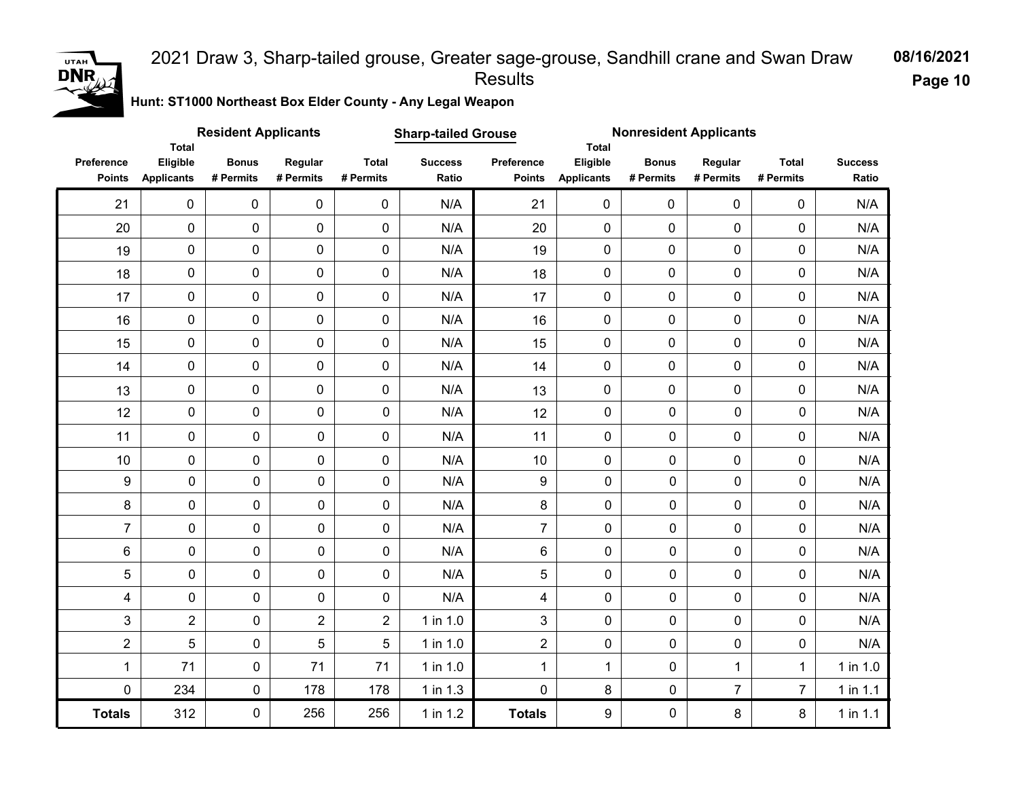#### 2021 Draw 3, Sharp-tailed grouse, Greater sage-grouse, Sandhill crane and Swan Draw Results

**08/16/2021 Page 10**

**Hunt: ST1000 Northeast Box Elder County - Any Legal Weapon** 

|                             | <b>Total</b>                  | <b>Resident Applicants</b> |                      |                           | <b>Sharp-tailed Grouse</b> |                             | <b>Nonresident Applicants</b><br><b>Total</b> |                           |                      |                           |                         |
|-----------------------------|-------------------------------|----------------------------|----------------------|---------------------------|----------------------------|-----------------------------|-----------------------------------------------|---------------------------|----------------------|---------------------------|-------------------------|
| Preference<br><b>Points</b> | Eligible<br><b>Applicants</b> | <b>Bonus</b><br># Permits  | Regular<br># Permits | <b>Total</b><br># Permits | <b>Success</b><br>Ratio    | Preference<br><b>Points</b> | Eligible<br><b>Applicants</b>                 | <b>Bonus</b><br># Permits | Regular<br># Permits | <b>Total</b><br># Permits | <b>Success</b><br>Ratio |
| 21                          | $\mathbf 0$                   | $\mathbf 0$                | $\mathbf 0$          | $\mathbf 0$               | N/A                        | 21                          | $\mathbf 0$                                   | $\mathbf 0$               | $\mathbf 0$          | 0                         | N/A                     |
| 20                          | $\mathbf 0$                   | 0                          | $\pmb{0}$            | $\mathbf 0$               | N/A                        | 20                          | 0                                             | $\mathbf 0$               | $\pmb{0}$            | 0                         | N/A                     |
| 19                          | $\mathsf{O}\xspace$           | 0                          | $\mathbf 0$          | 0                         | N/A                        | 19                          | 0                                             | $\mathbf 0$               | 0                    | 0                         | N/A                     |
| 18                          | $\pmb{0}$                     | $\pmb{0}$                  | 0                    | 0                         | N/A                        | 18                          | $\pmb{0}$                                     | $\pmb{0}$                 | $\pmb{0}$            | 0                         | N/A                     |
| 17                          | $\mathbf 0$                   | 0                          | $\mathbf 0$          | 0                         | N/A                        | 17                          | 0                                             | $\mathbf 0$               | $\mathbf 0$          | 0                         | N/A                     |
| 16                          | $\mathsf{O}\xspace$           | 0                          | 0                    | $\mathbf 0$               | N/A                        | 16                          | $\mathbf 0$                                   | $\mathbf 0$               | 0                    | 0                         | N/A                     |
| 15                          | $\mathbf 0$                   | $\mathbf 0$                | $\mathbf 0$          | $\mathbf 0$               | N/A                        | 15                          | 0                                             | $\mathbf 0$               | $\mathbf 0$          | 0                         | N/A                     |
| 14                          | $\mathsf{O}\xspace$           | 0                          | $\pmb{0}$            | $\mathbf 0$               | N/A                        | 14                          | 0                                             | $\mathbf 0$               | $\mathbf 0$          | 0                         | N/A                     |
| 13                          | $\mathsf{O}\xspace$           | 0                          | $\pmb{0}$            | $\mathbf 0$               | N/A                        | 13                          | $\pmb{0}$                                     | $\pmb{0}$                 | $\pmb{0}$            | 0                         | N/A                     |
| 12                          | $\pmb{0}$                     | 0                          | 0                    | $\pmb{0}$                 | N/A                        | 12                          | $\pmb{0}$                                     | $\pmb{0}$                 | 0                    | 0                         | N/A                     |
| 11                          | $\pmb{0}$                     | 0                          | 0                    | 0                         | N/A                        | 11                          | $\pmb{0}$                                     | $\pmb{0}$                 | $\pmb{0}$            | 0                         | N/A                     |
| 10                          | $\pmb{0}$                     | 0                          | 0                    | 0                         | N/A                        | 10                          | $\pmb{0}$                                     | 0                         | 0                    | 0                         | N/A                     |
| $\boldsymbol{9}$            | $\pmb{0}$                     | $\pmb{0}$                  | $\mathbf 0$          | $\mathbf 0$               | N/A                        | $\boldsymbol{9}$            | $\mathbf 0$                                   | $\mathbf 0$               | $\pmb{0}$            | $\pmb{0}$                 | N/A                     |
| 8                           | $\mathbf 0$                   | 0                          | 0                    | 0                         | N/A                        | 8                           | 0                                             | $\mathbf 0$               | 0                    | 0                         | N/A                     |
| $\overline{7}$              | $\pmb{0}$                     | 0                          | 0                    | $\mathbf 0$               | N/A                        | $\overline{7}$              | 0                                             | $\mathbf 0$               | 0                    | 0                         | N/A                     |
| $\,6$                       | $\mathbf 0$                   | 0                          | 0                    | $\mathbf 0$               | N/A                        | 6                           | 0                                             | $\mathbf 0$               | 0                    | 0                         | N/A                     |
| 5                           | $\mathbf 0$                   | 0                          | 0                    | 0                         | N/A                        | 5                           | 0                                             | 0                         | 0                    | 0                         | N/A                     |
| 4                           | $\mathbf 0$                   | 0                          | 0                    | $\mathbf 0$               | N/A                        | 4                           | 0                                             | $\mathbf 0$               | 0                    | 0                         | N/A                     |
| 3                           | $\overline{2}$                | $\pmb{0}$                  | $\overline{2}$       | $\overline{2}$            | 1 in 1.0                   | 3                           | 0                                             | $\mathbf 0$               | 0                    | 0                         | N/A                     |
| $\overline{2}$              | 5                             | 0                          | 5                    | 5                         | 1 in 1.0                   | $\overline{2}$              | $\pmb{0}$                                     | $\mathbf 0$               | 0                    | 0                         | N/A                     |
| $\mathbf 1$                 | 71                            | 0                          | 71                   | 71                        | 1 in 1.0                   | $\mathbf{1}$                | 1                                             | 0                         | 1                    | $\mathbf{1}$              | 1 in 1.0                |
| $\mathbf 0$                 | 234                           | 0                          | 178                  | 178                       | 1 in 1.3                   | $\pmb{0}$                   | 8                                             | $\pmb{0}$                 | $\overline{7}$       | $\overline{7}$            | 1 in 1.1                |
| <b>Totals</b>               | 312                           | 0                          | 256                  | 256                       | 1 in 1.2                   | <b>Totals</b>               | 9                                             | $\mathbf 0$               | 8                    | 8                         | 1 in 1.1                |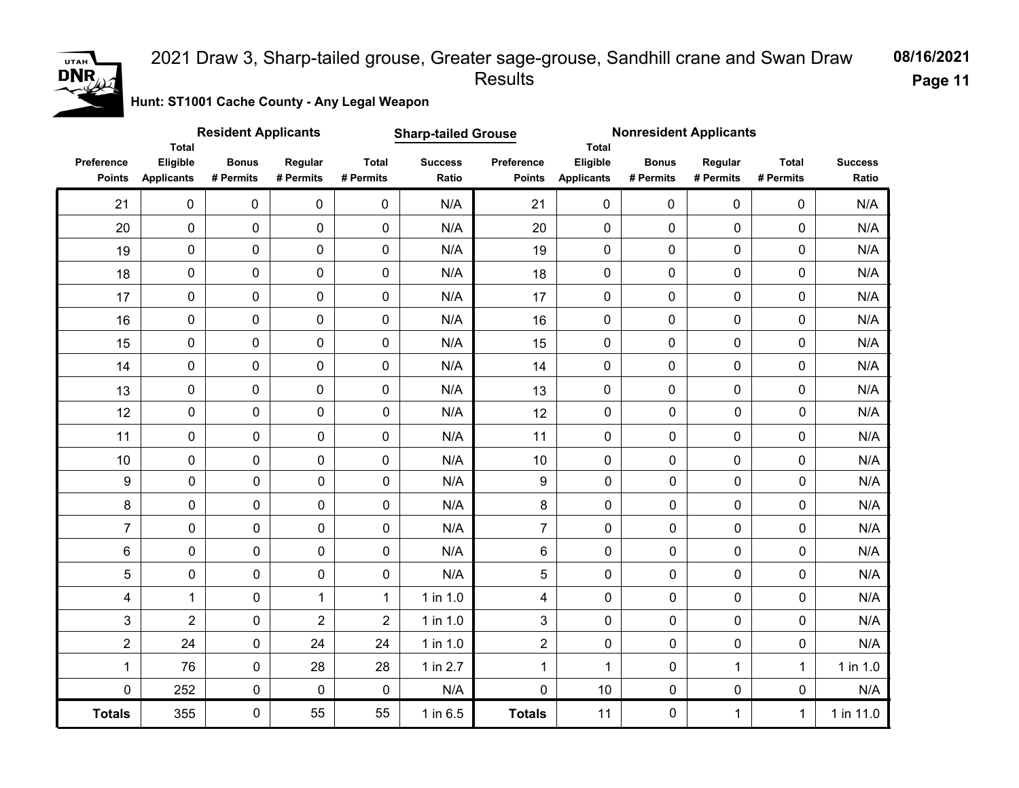### **UTAH**  $DNR_{\ell}$

#### 2021 Draw 3, Sharp-tailed grouse, Greater sage-grouse, Sandhill crane and Swan Draw Results

**08/16/2021 Page 11**

**Hunt: ST1001 Cache County - Any Legal Weapon** 

|                             | <b>Total</b>                  | <b>Resident Applicants</b> |                      |                           | <b>Sharp-tailed Grouse</b> |                             | <b>Nonresident Applicants</b><br><b>Total</b> |                           |                      |                           |                         |
|-----------------------------|-------------------------------|----------------------------|----------------------|---------------------------|----------------------------|-----------------------------|-----------------------------------------------|---------------------------|----------------------|---------------------------|-------------------------|
| Preference<br><b>Points</b> | Eligible<br><b>Applicants</b> | <b>Bonus</b><br># Permits  | Regular<br># Permits | <b>Total</b><br># Permits | <b>Success</b><br>Ratio    | Preference<br><b>Points</b> | Eligible<br><b>Applicants</b>                 | <b>Bonus</b><br># Permits | Regular<br># Permits | <b>Total</b><br># Permits | <b>Success</b><br>Ratio |
| 21                          | $\mathbf 0$                   | 0                          | 0                    | $\mathbf 0$               | N/A                        | 21                          | $\mathbf 0$                                   | 0                         | $\mathbf 0$          | 0                         | N/A                     |
| 20                          | $\pmb{0}$                     | 0                          | $\mathbf 0$          | 0                         | N/A                        | 20                          | $\mathbf 0$                                   | $\mathbf 0$               | 0                    | $\mathbf 0$               | N/A                     |
| 19                          | 0                             | 0                          | 0                    | 0                         | N/A                        | 19                          | $\mathbf 0$                                   | $\pmb{0}$                 | 0                    | $\mathbf 0$               | N/A                     |
| 18                          | $\pmb{0}$                     | 0                          | $\mathbf 0$          | 0                         | N/A                        | 18                          | $\mathbf 0$                                   | $\pmb{0}$                 | 0                    | $\pmb{0}$                 | N/A                     |
| 17                          | $\pmb{0}$                     | 0                          | 0                    | 0                         | N/A                        | 17                          | $\pmb{0}$                                     | $\pmb{0}$                 | 0                    | 0                         | N/A                     |
| 16                          | $\pmb{0}$                     | 0                          | 0                    | 0                         | N/A                        | 16                          | 0                                             | $\pmb{0}$                 | 0                    | $\pmb{0}$                 | N/A                     |
| 15                          | $\pmb{0}$                     | 0                          | 0                    | 0                         | N/A                        | 15                          | 0                                             | $\pmb{0}$                 | 0                    | 0                         | N/A                     |
| 14                          | $\pmb{0}$                     | $\pmb{0}$                  | $\mathbf 0$          | 0                         | N/A                        | 14                          | 0                                             | $\mathbf 0$               | 0                    | $\mathbf 0$               | N/A                     |
| 13                          | $\pmb{0}$                     | $\pmb{0}$                  | $\mathbf 0$          | 0                         | N/A                        | 13                          | 0                                             | $\mathbf 0$               | 0                    | $\pmb{0}$                 | N/A                     |
| 12                          | $\pmb{0}$                     | $\pmb{0}$                  | 0                    | $\pmb{0}$                 | N/A                        | 12                          | $\mathbf 0$                                   | $\mathbf 0$               | $\mathbf 0$          | 0                         | N/A                     |
| 11                          | $\pmb{0}$                     | $\mathbf 0$                | $\mathbf 0$          | $\mathbf 0$               | N/A                        | 11                          | $\mathbf 0$                                   | $\mathbf 0$               | 0                    | $\mathbf 0$               | N/A                     |
| 10                          | 0                             | 0                          | $\mathbf 0$          | $\pmb{0}$                 | N/A                        | 10                          | $\mathbf 0$                                   | $\mathbf 0$               | 0                    | 0                         | N/A                     |
| $\boldsymbol{9}$            | 0                             | 0                          | 0                    | 0                         | N/A                        | 9                           | $\mathbf 0$                                   | 0                         | $\pmb{0}$            | $\pmb{0}$                 | N/A                     |
| 8                           | 0                             | 0                          | 0                    | 0                         | N/A                        | 8                           | $\mathbf 0$                                   | 0                         | 0                    | 0                         | N/A                     |
| $\overline{7}$              | 0                             | 0                          | 0                    | 0                         | N/A                        | $\overline{7}$              | $\mathbf 0$                                   | 0                         | 0                    | $\pmb{0}$                 | N/A                     |
| $\,6\,$                     | 0                             | 0                          | 0                    | 0                         | N/A                        | 6                           | $\mathbf 0$                                   | $\pmb{0}$                 | 0                    | 0                         | N/A                     |
| 5                           | 0                             | 0                          | 0                    | 0                         | N/A                        | 5                           | $\mathbf 0$                                   | $\mathbf 0$               | 0                    | 0                         | N/A                     |
| 4                           | $\mathbf{1}$                  | $\mathbf 0$                | $\mathbf{1}$         | $\mathbf{1}$              | 1 in 1.0                   | $\overline{4}$              | $\mathbf 0$                                   | 0                         | 0                    | 0                         | N/A                     |
| 3                           | $\overline{2}$                | $\mathbf 0$                | $\overline{2}$       | $\overline{2}$            | 1 in 1.0                   | 3                           | $\mathbf 0$                                   | 0                         | 0                    | 0                         | N/A                     |
| $\overline{2}$              | 24                            | $\pmb{0}$                  | 24                   | 24                        | 1 in 1.0                   | $\overline{2}$              | $\mathsf{O}\xspace$                           | $\pmb{0}$                 | 0                    | 0                         | N/A                     |
| 1                           | 76                            | 0                          | 28                   | 28                        | 1 in 2.7                   | $\mathbf{1}$                | $\mathbf{1}$                                  | 0                         | $\mathbf{1}$         | $\mathbf{1}$              | 1 in 1.0                |
| 0                           | 252                           | 0                          | 0                    | 0                         | N/A                        | $\pmb{0}$                   | 10                                            | $\pmb{0}$                 | 0                    | 0                         | N/A                     |
| <b>Totals</b>               | 355                           | 0                          | 55                   | 55                        | 1 in 6.5                   | <b>Totals</b>               | 11                                            | 0                         | $\mathbf{1}$         | $\mathbf{1}$              | 1 in 11.0               |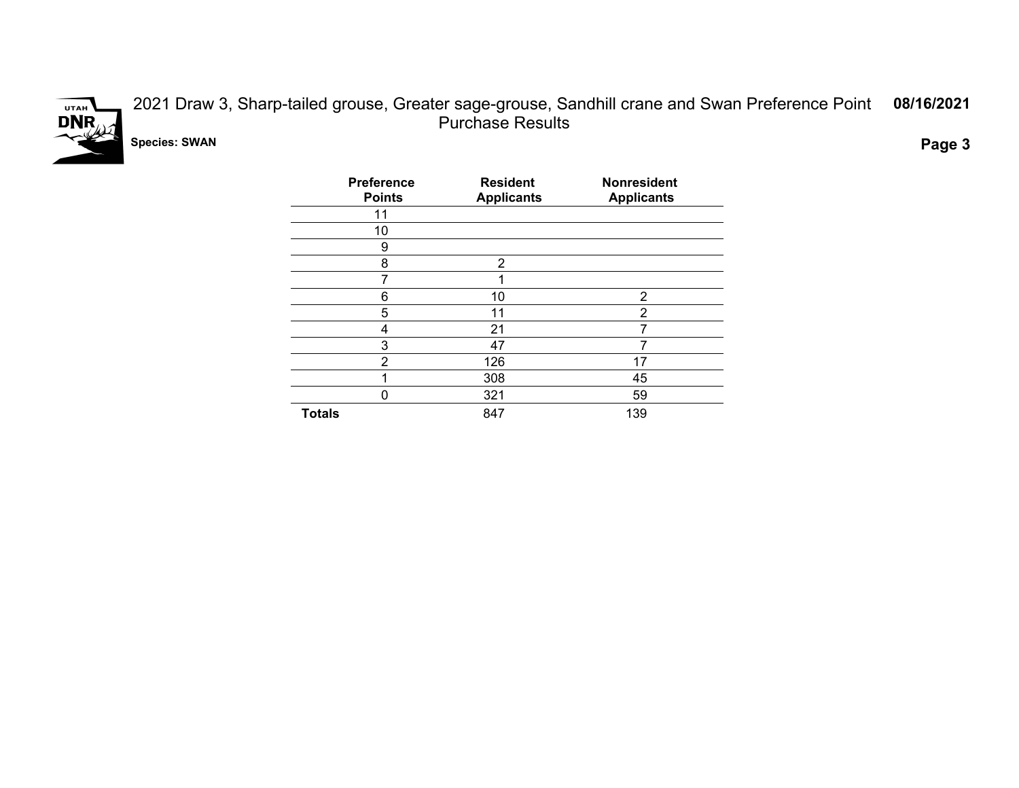

2021 Draw 3, Sharp-tailed grouse, Greater sage-grouse, Sandhill crane and Swan Preference Point Purchase Results **08/16/2021**

**Species: SWAN Page 3**

| <b>Preference</b><br><b>Points</b> | <b>Resident</b><br><b>Applicants</b> | <b>Nonresident</b><br><b>Applicants</b> |
|------------------------------------|--------------------------------------|-----------------------------------------|
| 11                                 |                                      |                                         |
| 10                                 |                                      |                                         |
| 9                                  |                                      |                                         |
| 8                                  | 2                                    |                                         |
| 7                                  | ィ                                    |                                         |
| 6                                  | 10                                   | 2                                       |
| 5                                  | 11                                   | 2                                       |
| 4                                  | 21                                   |                                         |
| 3                                  | 47                                   |                                         |
| 2                                  | 126                                  | 17                                      |
|                                    | 308                                  | 45                                      |
| 0                                  | 321                                  | 59                                      |
| <b>Totals</b>                      | 847                                  | 139                                     |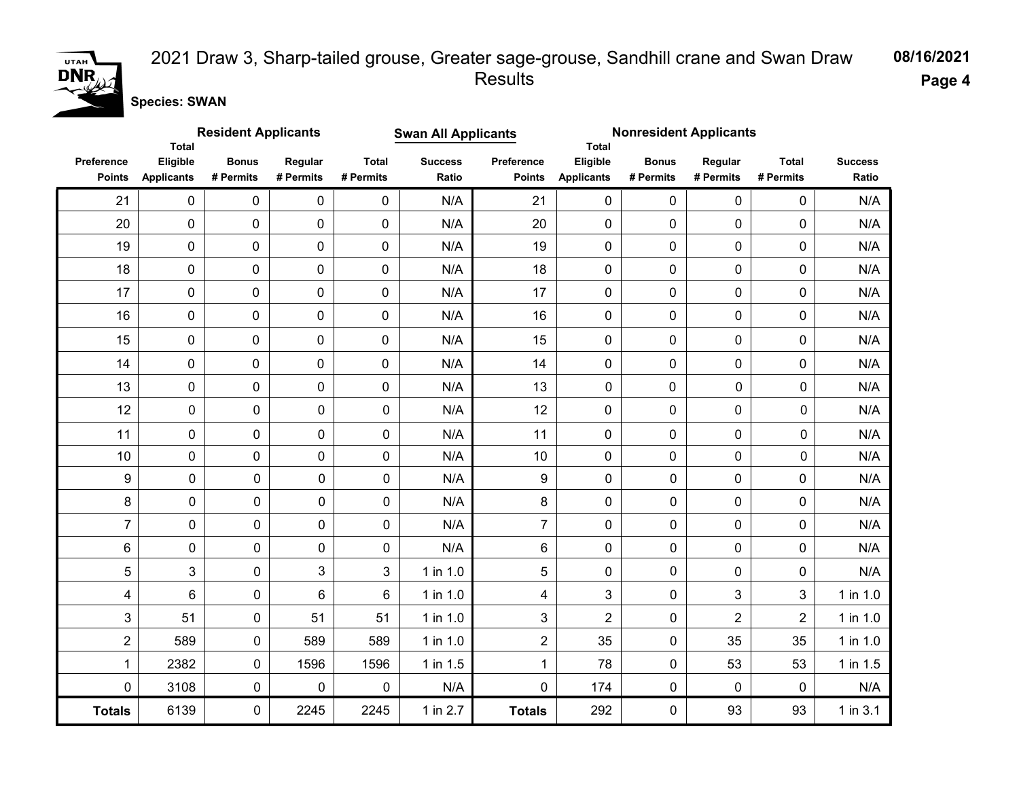

#### 2021 Draw 3, Sharp-tailed grouse, Greater sage-grouse, Sandhill crane and Swan Draw Results

**08/16/2021**

**Page 4**

**Species: SWAN**

|                             | <b>Total</b>                  | <b>Resident Applicants</b><br><b>Swan All Applicants</b><br><b>Nonresident Applicants</b><br><b>Total</b> |                      |                           |                         |                             |                               |                           |                      |                           |                         |
|-----------------------------|-------------------------------|-----------------------------------------------------------------------------------------------------------|----------------------|---------------------------|-------------------------|-----------------------------|-------------------------------|---------------------------|----------------------|---------------------------|-------------------------|
| Preference<br><b>Points</b> | Eligible<br><b>Applicants</b> | <b>Bonus</b><br># Permits                                                                                 | Regular<br># Permits | <b>Total</b><br># Permits | <b>Success</b><br>Ratio | Preference<br><b>Points</b> | Eligible<br><b>Applicants</b> | <b>Bonus</b><br># Permits | Regular<br># Permits | <b>Total</b><br># Permits | <b>Success</b><br>Ratio |
| 21                          | 0                             | $\mathbf 0$                                                                                               | $\mathbf 0$          | $\mathbf 0$               | N/A                     | 21                          | 0                             | 0                         | 0                    | $\mathbf 0$               | N/A                     |
| 20                          | $\mathbf 0$                   | $\mathbf 0$                                                                                               | $\mathbf 0$          | 0                         | N/A                     | 20                          | $\mathbf 0$                   | $\mathbf 0$               | $\mathbf 0$          | 0                         | N/A                     |
| 19                          | $\pmb{0}$                     | $\mathbf 0$                                                                                               | $\mathbf 0$          | $\mathbf 0$               | N/A                     | 19                          | $\mathbf 0$                   | $\mathbf 0$               | $\mathbf 0$          | 0                         | N/A                     |
| 18                          | $\mathbf 0$                   | 0                                                                                                         | $\pmb{0}$            | $\pmb{0}$                 | N/A                     | 18                          | $\mathbf 0$                   | $\pmb{0}$                 | $\mathbf 0$          | 0                         | N/A                     |
| 17                          | $\mathsf{O}\xspace$           | $\mathbf 0$                                                                                               | $\mathbf 0$          | 0                         | N/A                     | 17                          | $\mathbf 0$                   | 0                         | $\mathbf 0$          | $\mathbf 0$               | N/A                     |
| 16                          | $\mathbf 0$                   | $\mathbf 0$                                                                                               | 0                    | 0                         | N/A                     | 16                          | $\mathbf 0$                   | $\mathbf 0$               | $\mathbf 0$          | 0                         | N/A                     |
| 15                          | $\mathbf 0$                   | $\mathbf 0$                                                                                               | 0                    | 0                         | N/A                     | 15                          | $\mathbf 0$                   | $\mathbf 0$               | $\mathbf 0$          | $\mathbf 0$               | N/A                     |
| 14                          | $\pmb{0}$                     | $\mathbf 0$                                                                                               | 0                    | 0                         | N/A                     | 14                          | $\mathbf 0$                   | 0                         | $\mathbf 0$          | 0                         | N/A                     |
| 13                          | 0                             | 0                                                                                                         | $\pmb{0}$            | 0                         | N/A                     | 13                          | 0                             | $\pmb{0}$                 | $\pmb{0}$            | 0                         | N/A                     |
| 12                          | $\mathbf 0$                   | $\mathbf 0$                                                                                               | 0                    | 0                         | N/A                     | 12                          | 0                             | 0                         | 0                    | 0                         | N/A                     |
| 11                          | $\mathbf 0$                   | $\mathbf 0$                                                                                               | 0                    | $\mathbf 0$               | N/A                     | 11                          | $\mathbf 0$                   | $\mathbf 0$               | 0                    | 0                         | N/A                     |
| 10 <sup>1</sup>             | $\mathsf{O}\xspace$           | 0                                                                                                         | $\mathbf 0$          | $\mathbf 0$               | N/A                     | 10                          | $\mathbf 0$                   | $\mathbf 0$               | $\pmb{0}$            | 0                         | N/A                     |
| 9                           | 0                             | 0                                                                                                         | 0                    | $\mathbf 0$               | N/A                     | 9                           | $\mathbf 0$                   | 0                         | 0                    | $\mathbf 0$               | N/A                     |
| 8                           | 0                             | 0                                                                                                         | 0                    | $\pmb{0}$                 | N/A                     | 8                           | 0                             | 0                         | 0                    | 0                         | N/A                     |
| $\overline{7}$              | $\mathbf 0$                   | 0                                                                                                         | 0                    | $\mathbf 0$               | N/A                     | $\overline{7}$              | 0                             | 0                         | 0                    | $\mathbf 0$               | N/A                     |
| 6                           | $\mathbf 0$                   | 0                                                                                                         | 0                    | $\mathbf 0$               | N/A                     | 6                           | $\mathbf 0$                   | 0                         | 0                    | $\mathbf 0$               | N/A                     |
| $\mathbf 5$                 | 3                             | 0                                                                                                         | 3                    | 3                         | 1 in 1.0                | 5                           | 0                             | 0                         | 0                    | 0                         | N/A                     |
| 4                           | 6                             | 0                                                                                                         | 6                    | 6                         | 1 in 1.0                | $\overline{4}$              | 3                             | 0                         | 3                    | 3                         | $1$ in $1.0$            |
| 3                           | 51                            | 0                                                                                                         | 51                   | 51                        | 1 in 1.0                | 3                           | $\overline{2}$                | 0                         | $\overline{2}$       | $\overline{2}$            | 1 in 1.0                |
| $\overline{2}$              | 589                           | 0                                                                                                         | 589                  | 589                       | 1 in 1.0                | $\overline{2}$              | 35                            | 0                         | 35                   | 35                        | 1 in 1.0                |
| $\mathbf{1}$                | 2382                          | 0                                                                                                         | 1596                 | 1596                      | 1 in 1.5                | $\mathbf{1}$                | 78                            | 0                         | 53                   | 53                        | 1 in 1.5                |
| $\pmb{0}$                   | 3108                          | 0                                                                                                         | 0                    | $\pmb{0}$                 | N/A                     | $\mathbf 0$                 | 174                           | 0                         | 0                    | $\mathbf 0$               | N/A                     |
| <b>Totals</b>               | 6139                          | 0                                                                                                         | 2245                 | 2245                      | 1 in 2.7                | <b>Totals</b>               | 292                           | 0                         | 93                   | 93                        | $1$ in $3.1$            |